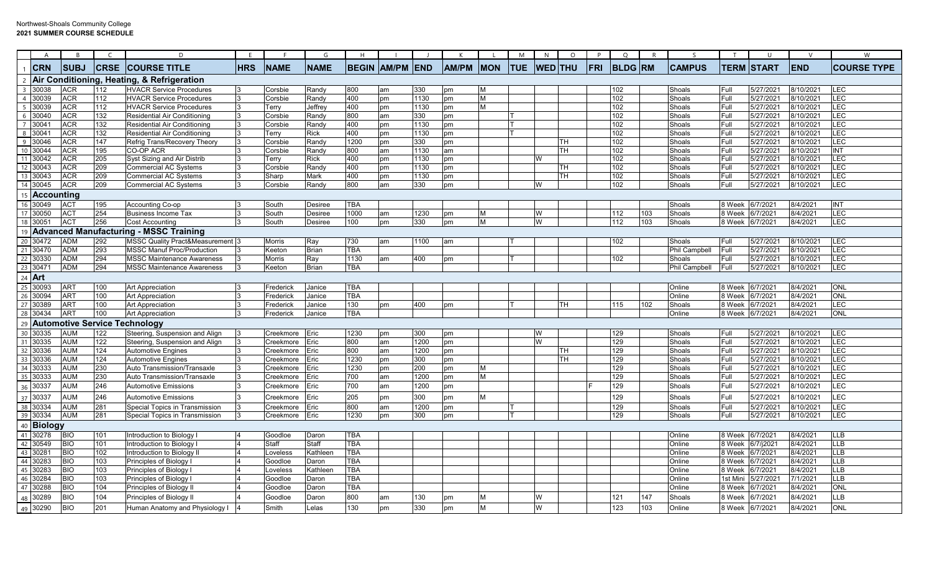|                  | $\overline{A}$       | B                 | $\epsilon$ | D                                                        | E.         |                        | G            | H            |                        |            |              |            | M          | N              | $\circ$ | P   | $\circ$        | R   | $\varsigma$          |              | U                      | $\mathsf{V}$           |                    |
|------------------|----------------------|-------------------|------------|----------------------------------------------------------|------------|------------------------|--------------|--------------|------------------------|------------|--------------|------------|------------|----------------|---------|-----|----------------|-----|----------------------|--------------|------------------------|------------------------|--------------------|
|                  | $1$ CRN              | <b>SUBJ</b>       |            | <b>CRSE COURSE TITLE</b>                                 | <b>HRS</b> | <b>NAME</b>            | <b>NAME</b>  |              | <b>BEGIN AM/PM END</b> |            | <b>AM/PM</b> | <b>MON</b> | <b>TUE</b> | <b>WED</b> THU |         | FRI | <b>BLDG RM</b> |     | <b>CAMPUS</b>        |              | <b>TERM START</b>      | <b>END</b>             | <b>COURSE TYPE</b> |
|                  |                      |                   |            | 2 Air Conditioning, Heating, & Refrigeration             |            |                        |              |              |                        |            |              |            |            |                |         |     |                |     |                      |              |                        |                        |                    |
|                  | 3 30038              | ACR               | 112        | <b>HVACR Service Procedures</b>                          |            | Corsbie                | Randv        | 800          | am                     | 330        | pm           | M          |            |                |         |     | 102            |     | Shoals               | Full         | 5/27/2021              | 8/10/2021              | LEC                |
|                  | 4 30039              | ACR               | 112        | <b>HVACR Service Procedures</b>                          | l3         | Corsbie                | Randy        | 400          | pm                     | 1130       | pm           | lм         |            |                |         |     | 102            |     | Shoals               | Full         | 5/27/2021              | 8/10/2021              | LEC                |
|                  | 5 30039              | ACR               | 112        | <b>HVACR Service Procedures</b>                          | Ι3         | Terry                  | Jeffrey      | 400          | pm                     | 1130       | pm           | M          |            |                |         |     | 102            |     | Shoals               | Full         | 5/27/2021              | 8/10/2021              | LEC                |
|                  | 6 30040              | ACR               | 132        | Residential Air Conditioning                             |            | Corsbie                | Randv        | 800          | am                     | 330        | pm           |            |            |                |         |     | 102            |     | Shoals               | Full         | 5/27/2021              | 8/10/2021              | LEC                |
|                  | 7 30041              | ACR               | 132        | Residential Air Conditioning                             |            | Corsbie                | Randy        | 400          | pm                     | 1130       | pm           |            |            |                |         |     | 102            |     | Shoals               | Full         | 5/27/2021              | 8/10/2021              | LEC                |
|                  | 8 30041              | ACR               | 132        | Residential Air Conditioning                             |            | Terry                  | Rick         | 400          | pm                     | 1130       | pm           |            |            |                |         |     | 102            |     | Shoals               | Full         | 5/27/2021              | 8/10/2021              | LEC                |
|                  | 9 30046              | ACR               | 147        | Refrig Trans/Recovery Theory                             |            | Corsbie                | Randy        | 1200         | pm                     | 330        | pm           |            |            |                | TН      |     | 102            |     | Shoals               | Full         | 5/27/2021              | 8/10/2021              | LEC                |
|                  | 10 30044             | ACR               | 195        | CO-OP ACR                                                |            | Corsbie                | Randy        | 800          | am                     | 1130       | am           |            |            |                | тн      |     | 102            |     | Shoals               | Full         | 5/27/2021              | 8/10/2021              | <b>INT</b>         |
|                  | 11 30042             | ACR               | 205        | Syst Sizing and Air Distrib                              |            | Terry                  | <b>Rick</b>  | 400          | pm                     | 1130       | pm           |            |            | W              |         |     | 102            |     | Shoals               | Full         | 5/27/2021              | 8/10/2021              | LEC                |
|                  | 12 30043             | ACR               | 209        | Commercial AC Systems                                    |            | Corsbie                | Randy        | 400          | pm                     | 1130       | pm           |            |            |                | TН      |     | 102            |     | Shoals               | Full         | 5/27/2021              | 8/10/2021              | LEC                |
|                  | 13 30043             | ACR<br><b>ACR</b> | 209<br>209 | <b>Commercial AC Systems</b>                             | 13         | Sharp                  | Mark         | 400<br>800   | pm                     | 1130       | pm           |            |            |                | TН      |     | 102<br>102     |     | Shoals               | Full         | 5/27/2021<br>5/27/2021 | 8/10/2021              | LEC<br>LEC         |
|                  | 14 30045             |                   |            | <b>Commercial AC Systems</b>                             | 13         | Corsbie                | <b>Randy</b> |              | am                     | 330        | pm           |            |            | W              |         |     |                |     | Shoals               | Full         |                        | 8/10/2021              |                    |
| 15 <sup>15</sup> | Accounting           |                   |            |                                                          |            |                        |              |              |                        |            |              |            |            |                |         |     |                |     |                      |              |                        |                        |                    |
| 16               | 30049                | ACT               | 195        | Accounting Co-op                                         |            | South                  | Desiree      | <b>TBA</b>   |                        |            |              |            |            |                |         |     |                |     | Shoals               | 8 Week       | 6/7/2021               | 8/4/2021               | INT                |
|                  | 17 30050             | ACT               | 254        | Business Income Tax                                      |            | South                  | Desiree      | 1000         | am                     | 1230       | pm           | M          |            | W              |         |     | 112            | 103 | Shoals               | 8 Week       | 6/7/2021               | 8/4/2021               | LEC                |
|                  | 18 30051             | <b>ACT</b>        | 256        | <b>Cost Accounting</b>                                   | l3         | South                  | Desiree      | 100          | pm                     | 330        | pm           | M          |            | W              |         |     | 112            | 103 | Shoals               | 8 Week       | 6/7/2021               | 8/4/2021               | LEC                |
| 19               |                      |                   |            | <b>Advanced Manufacturing - MSSC Training</b>            |            |                        |              |              |                        |            |              |            |            |                |         |     |                |     |                      |              |                        |                        |                    |
|                  | 20 30472             | <b>ADM</b>        | 292        | <b>MSSC Quality Pract&amp;Measurement 3</b>              |            | Morris                 | Ray          | 730          | am                     | 1100       | am           |            |            |                |         |     | 102            |     | Shoals               | Full         | 5/27/2021              | 8/10/2021              | LEC                |
|                  | 21 30470             | ADM               | 293        | <b>MSSC Manuf Proc/Production</b>                        |            | Keetor                 | <b>Brian</b> | <b>TBA</b>   |                        |            |              |            |            |                |         |     |                |     | <b>Phil Campbell</b> | Full         | 5/27/2021              | 8/10/2021              | LEC                |
|                  | 22 30330             | ADM               | 294        | <b>MSSC Maintenance Awareness</b>                        |            | <b>Morris</b>          | Ray          | 1130         | am                     | 400        | pm           |            |            |                |         |     | 102            |     | Shoals               | Full         | 5/27/2021              | 8/10/2021              | LEC                |
|                  | 23 30471             | ADM               | 294        | <b>MSSC Maintenance Awareness</b>                        | l3         | Keeton                 | <b>Brian</b> | TBA          |                        |            |              |            |            |                |         |     |                |     | <b>Phil Campbell</b> | Full         | 5/27/2021              | 8/10/2021              | <b>LEC</b>         |
|                  | 24 Art               |                   |            |                                                          |            |                        |              |              |                        |            |              |            |            |                |         |     |                |     |                      |              |                        |                        |                    |
|                  | 25 30093             | <b>ART</b>        | 100        | <b>Art Appreciation</b>                                  |            | Frederick              | Janice       | <b>TBA</b>   |                        |            |              |            |            |                |         |     |                |     | Online               | 8 Week       | 6/7/2021               | 8/4/2021               | <b>ONL</b>         |
|                  | 26 30094             | ART               | 100        | <b>Art Appreciation</b>                                  | l3         | Frederick              | Janice       | TBA          |                        |            |              |            |            |                |         |     |                |     | Online               | 8 Week       | 6/7/2021               | 8/4/2021               | <b>ONL</b>         |
|                  | 27 30389             | ART<br><b>ART</b> | 100        | <b>Art Appreciation</b>                                  | l3         | Frederick              | Janice       | 130          | pm                     | 400        | pm           |            |            |                | TН      |     | 115            | 102 | Shoals               | 8 Week       | 6/7/2021               | 8/4/2021               | LEC<br>ONL         |
|                  | 28 30434             |                   | 100        | <b>Art Appreciation</b>                                  |            | Frederick              | Janice       | <b>TBA</b>   |                        |            |              |            |            |                |         |     |                |     | Online               | 8 Week       | 6/7/2021               | 8/4/2021               |                    |
| 29               |                      |                   |            | <b>Automotive Service Technology</b>                     |            |                        |              |              |                        |            |              |            |            |                |         |     |                |     |                      |              |                        |                        |                    |
|                  | 30 30335             | <b>AUM</b>        | 122        | Steering, Suspension and Align                           |            | Creekmore              | Eric         | 1230         | pm                     | 300        | pm           |            |            | w              |         |     | 129            |     | Shoals               | Full         | 5/27/2021              | 8/10/2021              | <b>LEC</b>         |
|                  | 31 30335             | <b>AUM</b>        | 122        | Steering, Suspension and Align                           |            | creekmore.             | Eric         | 800          | am                     | 1200       | pm           |            |            | W              |         |     | 129            |     | Shoals               | Full         | 5/27/2021              | 8/10/2021              | LEC                |
|                  | 32 30336             | AUM               | 124<br>124 | <b>Automotive Engines</b>                                |            | Creekmore              | Eric         | 800          | am                     | 1200       | pm           |            |            |                | TН      |     | 129            |     | Shoals               | Full<br>Full | 5/27/2021<br>5/27/2021 | 8/10/2021              | LEC                |
|                  | 33 30336<br>34 30333 | AUM<br>AUM        | 230        | <b>Automotive Engines</b><br>Auto Transmission/Transaxle |            | Creekmore              | Eric<br>Eric | 1230<br>1230 | pm                     | 300<br>200 | pm<br>pm     | M          |            |                | TН      |     | 129<br>129     |     | Shoals<br>Shoals     | Full         | 5/27/2021              | 8/10/2021<br>8/10/2021 | LEC<br><b>LEC</b>  |
|                  | 35 30333             | <b>AUM</b>        | 230        | Auto Transmission/Transaxle                              |            | Creekmore<br>ceekmore. | Eric         | 700          | pm<br>am               | 1200       | pm           | M          |            |                |         |     | 129            |     | Shoals               | Full         | 5/27/2021              | 8/10/2021              | LEC                |
|                  | 36 30337             | AUM               | 246        | <b>Automotive Emissions</b>                              |            | Creekmore              | Eric         | 700          | am                     | 1200       | pm           |            |            |                |         |     | 129            |     | Shoals               | Full         | 5/27/2021              | 3/10/2021              | LEC                |
| 37               | 30337                | AUM               | 246        | <b>Automotive Emissions</b>                              |            | Creekmore              | Eric         | 205          | pm                     | 300        | pm           | M          |            |                |         |     | 129            |     | Shoals               | Full         | 5/27/2021              | 8/10/2021              | LEC                |
|                  | 38 30334             | <b>AUM</b>        | 281        | Special Topics in Transmission                           |            | ceekmore:              | Eric         | 800          | am                     | 1200       | pm           |            |            |                |         |     | 129            |     | Shoals               | Full         | 5/27/2021              | 3/10/2021              | LEC                |
|                  | 39 30334             | aum               | 281        | Special Topics in Transmission                           |            | Creekmore              | Eric         | 1230         | pm                     | 300        | pm           |            |            |                |         |     | 129            |     | Shoals               | Full         | 5/27/2021              | 8/10/2021              | LEC                |
|                  | 40 Biology           |                   |            |                                                          |            |                        |              |              |                        |            |              |            |            |                |         |     |                |     |                      |              |                        |                        |                    |
|                  | 41 30278             | BIO               | 101        | Introduction to Biology                                  |            | Goodloe                | Daron        | <b>TBA</b>   |                        |            |              |            |            |                |         |     |                |     | Online               | 8 Week       | 6/7/2021               | 8/4/2021               | <b>LLB</b>         |
|                  | 42 30549             | BIO               | 101        | Introduction to Biology                                  |            | Staff                  | Staff        | <b>TBA</b>   |                        |            |              |            |            |                |         |     |                |     | Online               | 8 Week       | 6/7/j2021              | 8/4/2021               | LLB                |
|                  | 43 30281             | <b>BIO</b>        | 102        | Introduction to Biology II                               |            | _oveless               | Kathleen     | <b>TBA</b>   |                        |            |              |            |            |                |         |     |                |     | Online               | 8 Week       | 6/7/2021               | 8/4/2021               | LLB                |
|                  | 44 30283             | BIO               | 103        | Principles of Biology I                                  |            | Goodloe                | Daron        | TBA          |                        |            |              |            |            |                |         |     |                |     | Online               | 8 Week       | 6/7/2021               | 8/4/2021               | <b>LLB</b>         |
|                  | 45 30283             | BIO               | 103        | Principles of Biology I                                  |            | _oveless               | Kathleen     | <b>TBA</b>   |                        |            |              |            |            |                |         |     |                |     | Online               | 8 Week       | 6/7/2021               | 8/4/2021               | LLB                |
|                  | 46 30284             | BIO               | 103        | Principles of Biology                                    |            | Goodloe                | Daron        | <b>TBA</b>   |                        |            |              |            |            |                |         |     |                |     | Online               | 1st Min      | 5/27/2021              | 7/1/2021               | LLB                |
|                  | 47 30288             | BIO               | 104        | Principles of Biology II                                 |            | Goodloe                | Daron        | TBA          |                        |            |              |            |            |                |         |     |                |     | Online               | 8 Week       | 6/7/2021               | 8/4/2021               | ONL                |
| 48               | 30289                | BIO               | 104        | Principles of Biology II                                 |            | Goodloe                | Daron        | 800          | am                     | 130        | рm           | M          |            | W              |         |     | 121            | 147 | Shoals               | 8 Week       | 6/7/2021               | 8/4/2021               | LLB                |
|                  | 49 30290             | <b>BIO</b>        | 201        | Human Anatomy and Physiology I                           |            | Smith                  | Lelas        | 130          | pm                     | 330        | pm           | M          |            | W              |         |     | 123            | 103 | Online               | 8 Week       | 6/7/2021               | 8/4/2021               | <b>ONL</b>         |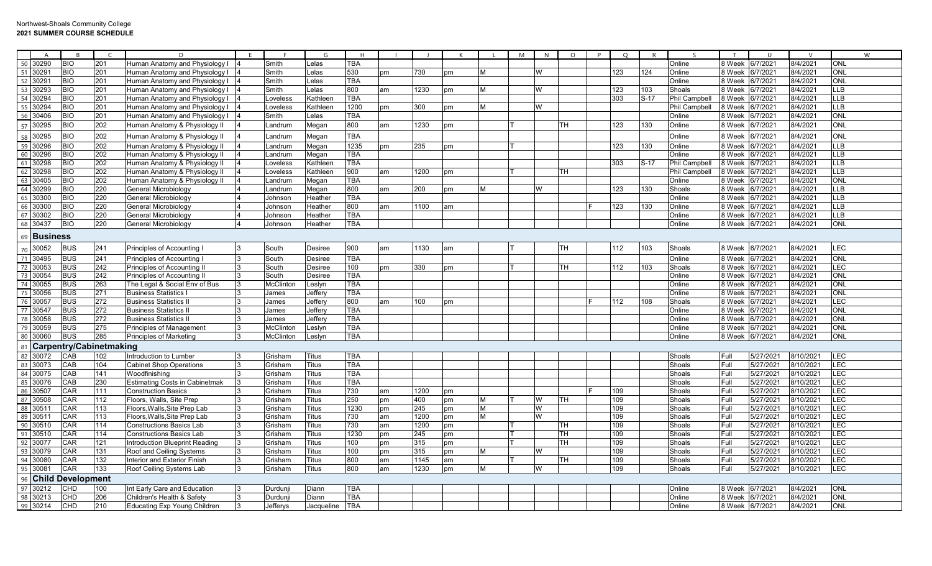| 50<br>30290<br>8/4/2021<br>BIO<br>201<br>Human Anatomy and Physiology I<br>Smith<br>elas<br><b>TBA</b><br>Online<br>8 Week<br>6/7/2021<br><b>ONL</b><br>51<br>BIO<br>201<br>124<br>8/4/2021<br><b>ONL</b><br>30291<br>Human Anatomy and Physiology I<br>Smith<br>_elas<br>530<br>pm<br>730<br>W<br>123<br>Online<br>8 Week<br>6/7/202<br>pm<br>52<br>30291<br>BIO<br><b>TBA</b><br>Online<br>8/4/2021<br><b>ONL</b><br>201<br>Human Anatomy and Physiology I<br>Smith<br>8 Week<br>6/7/2021<br>elas.<br>53<br><b>BIO</b><br>800<br>LLB<br>30293<br>201<br>Human Anatomy and Physiology I<br>Smith<br>elas<br>am<br>1230<br>W<br>123<br>103<br>Shoals<br>8 Week<br>6/7/2021<br>8/4/2021<br>pm<br>М<br>54<br>30294<br><b>BIO</b><br>201<br><b>TBA</b><br>303<br>$S-17$<br><b>Phil Campbell</b><br>8/4/2021<br><b>LLB</b><br>8 Week<br>6/7/202<br>Human Anatomy and Physiology I<br>≺athleen<br>_oveless<br>55<br><b>LLB</b><br>30294<br>BIO<br>201<br>Human Anatomy and Physiology I<br>1200<br>300<br>8 Week<br>8/4/2021<br>Loveless<br>Kathleen<br>W<br>Phil Campbell<br>6/7/202<br>pm<br>pm<br>56<br><b>BIO</b><br>201<br><b>TBA</b><br><b>ONL</b><br>30406<br>Human Anatomy and Physiology I<br>8 Week<br>6/7/2021<br>8/4/2021<br>Smith<br>Lelas<br>Online<br><b>ONL</b><br>57<br>30295<br><b>BIO</b><br>202<br>800<br>1230<br>123<br>130<br>8 Week<br>8/4/2021<br>Human Anatomy & Physiology II<br>pm<br>TН<br>Online<br>6/7/202<br>Landrum<br>Megan<br>am<br><b>BIO</b><br>202<br>ONL<br>TBA<br>Online<br>58<br>59<br>30295<br>Human Anatomy & Physiology II<br>6/7/202<br>8/4/2021<br>8 Week<br>Landrum<br>Megan<br>$\overline{BO}$<br>202<br>ШB<br>30296<br>Human Anatomy & Physiology II<br>1235<br>130<br>Online<br>8 Week<br>6/7/2021<br>8/4/2021<br>Landrum<br>Megan<br>235<br>123<br>pm<br>pm<br>60<br>202<br>LLB<br>30296<br><b>BIO</b><br>TBA<br>Online<br>6/7/2021<br>8/4/2021<br>Human Anatomy & Physiology II<br>8 Week<br>.andrum<br>Megan<br>61<br>30298<br><b>BIO</b><br>202<br><b>TBA</b><br>8 Week<br>8/4/2021<br><b>LLB</b><br>Human Anatomy & Physiology II<br>Kathleen<br>303<br>$S-17$<br><b>Phil Campbell</b><br>6/7/202<br>_oveless<br>62<br>BIO<br>202<br>900<br>8/4/2021<br><b>LLB</b><br>30298<br>Human Anatomy & Physiology II<br>Kathleen<br>am<br>1200<br>TН<br><b>Phil Campbell</b><br>8 Week<br>6/7/202<br>_oveless<br>pm<br>63<br><b>BIO</b><br>202<br><b>TBA</b><br><b>ONL</b><br>30405<br>Human Anatomy & Physiology II<br>8 Week<br>6/7/202<br>8/4/2021<br>.andrum<br>Megan<br>Online<br>64<br><b>BIO</b><br>220<br>30299<br>800<br>200<br>123<br>130<br>8 Week<br>6/7/202<br>8/4/2021<br>LLB<br>General Microbiology<br>Megan<br>W<br>Shoals<br>Landrum<br>am<br>pm<br>М<br>65<br>220<br>LLB<br>30300<br><b>BIO</b><br><b>TBA</b><br>Online<br>6/7/2021<br>8/4/2021<br>General Microbiology<br>8 Week<br>Johnson<br>Heather<br>66<br>30300<br><b>BIO</b><br>220<br>800<br>130<br>8/4/2021<br><b>LLB</b><br>General Microbiology<br>Johnson<br>Heather<br>1100<br>123<br>Online<br>8 Week<br>6/7/2021<br>am<br>am<br>67<br><b>BIO</b><br>220<br><b>TBA</b><br><b>LLB</b><br>30302<br>Online<br>8/4/2021<br>General Microbiology<br>Johnson<br>Heather<br>8 Week<br>6/7/202<br>68<br>30437<br><b>BIO</b><br>220<br>TBA<br>Online<br>8/4/2021<br><b>ONL</b><br>General Microbiology<br>Heather<br>8 Week<br>6/7/2021<br>Johnson<br>69<br><b>Business</b><br>LEC<br><b>BUS</b><br>241<br>8/4/2021<br>30052<br>Principles of Accounting I<br>South<br>900<br>1130<br>TН<br>112<br>103<br>Shoals<br>8 Week<br>6/7/2021<br><b>Desiree</b><br>am<br>am<br>70<br>71<br><b>ONL</b><br><b>BUS</b><br>241<br><b>TBA</b><br>Online<br>6/7/2021<br>8/4/2021<br>30495<br><b>Principles of Accounting I</b><br>South<br>Desiree<br>8 Week<br>72<br><b>BUS</b><br>242<br>LEC<br>30053<br>Principles of Accounting II<br>100<br>330<br>TН<br>112<br>103<br>Shoals<br>8 Week 6/7/2021<br>8/4/2021<br>South<br>Desiree<br>pm<br>pm<br>73<br><b>ONL</b><br>30054<br>BUS<br>242<br>TBA<br>Online<br>Principles of Accounting II<br>8 Week<br>6/7/2021<br>8/4/2021<br>South<br>Desiree<br>74<br>263<br>30055<br><b>BUS</b><br><b>McClinton</b><br><b>TBA</b><br>Online<br>8 Week<br>6/7/2021<br>8/4/2021<br>ONL<br>The Legal & Social Env of Bus<br>.eslyn<br>75<br><b>ONL</b><br><b>BUS</b><br>271<br><b>TBA</b><br>8 Week<br>30056<br>Business Statistics l<br>Jeffery<br>Online<br>6/7/202<br>8/4/2021<br>James<br>76<br><b>BUS</b><br>272<br>800<br>LEC<br>30057<br><b>Business Statistics I</b><br>100<br>112<br>108<br>8 Week<br>6/7/2021<br>8/4/2021<br>Jeffery<br>Shoals<br>James<br>am<br>pm<br>77<br>30547<br><b>BUS</b><br>272<br><b>TBA</b><br>8/4/2021<br><b>ONL</b><br>Business Statistics I<br>Jeffery<br>Online<br>8 Week<br>6/7/2021<br>James<br>78<br>30058<br><b>BUS</b><br>272<br><b>TBA</b><br>Online<br>8 Week<br>8/4/2021<br><b>ONL</b><br><b>Business Statistics I</b><br>Jeffery<br>6/7/202<br>James<br>79<br>30059<br><b>BUS</b><br>275<br><b>TBA</b><br>8/4/2021<br><b>ONL</b><br><b>Principles of Management</b><br>McClinton<br>Online<br>8 Week<br>6/7/2021<br>Leslyn<br>80<br>285<br><b>BUS</b><br><b>TBA</b><br><b>ONL</b><br>30060<br><b>Principles of Marketinc</b><br>McClinton<br>Online<br>8 Week<br>6/7/2021<br>8/4/2021<br>Leslyn<br><b>Carpentry/Cabinetmaking</b><br>81<br>82<br>LEC<br>30072<br>CAB<br>102<br><b>Titus</b><br><b>TBA</b><br>5/27/2021<br>8/10/2021<br>Introduction to Lumber<br>Grisham<br>Shoals<br>Full<br>83<br>30073<br>CAB<br>104<br><b>TBA</b><br>Shoals<br>Full<br>5/27/2021<br>8/10/2021<br>LEC<br><b>Cabinet Shop Operations</b><br>Grisham<br><b>Titus</b><br>84<br>LEC<br>CAB<br>141<br><b>TBA</b><br>5/27/2021<br>30075<br>Shoals<br>Full<br>8/10/2021<br>Woodfinishing<br>Grisham<br>Titus<br>85<br>CAB<br>LEC<br>30076<br>230<br><b>Estimating Costs in Cabinetmak</b><br><b>TBA</b><br>Shoals<br>Full<br>5/27/2021<br>8/10/2021<br>Grisham<br><b>Titus</b><br>86<br><b>EC</b><br>30507<br><b>CAR</b><br>111<br>730<br>5/27/2021<br><b>Construction Basics</b><br>Titus<br>1200<br>109<br>Shoals<br>Full<br>8/10/2021<br>Grisham<br>am<br>pm<br>87<br>LEC<br>30508<br>CAR<br>112<br>250<br>400<br>109<br>Full<br>5/27/2021<br>8/10/2021<br>Floors, Walls, Site Prep<br>Grisham<br>Titus<br>W<br>TН<br>Shoals<br>pm<br>pm<br>88<br>LEC<br>30511<br>CAR<br>113<br>1230<br>245<br>W<br>109<br>Shoals<br>5/27/2021<br>8/10/2021<br>Floors,Walls,Site Prep Lab<br>Grisham<br>Titus<br>pm<br>pm<br>м<br>Full<br>89<br>LEC<br>CAR<br>113<br>730<br>1200<br>W<br>109<br>5/27/2021<br>30511<br>Floors, Walls, Site Prep Lab<br>Shoals<br>Full<br>8/10/2021<br>Grisham<br>Titus<br>am<br>pm<br>м<br>$90\,$<br>LEC<br>30510<br>CAR<br>114<br>730<br>1200<br>109<br>Shoals<br>5/27/2021<br>8/10/2021<br><b>Constructions Basics Lab</b><br>Grisham<br>Titus<br>am<br>pm<br>TН<br>Full<br>91<br>E<br>30510<br>CAR<br>114<br>1230<br>245<br>TН<br>109<br>Shoals<br>5/27/2021<br>8/10/2021<br>Constructions Basics Lab<br>Grisham<br>Titus<br>pm<br>Full<br>pm<br>92<br>LEC<br>CAR<br>121<br>100<br>315<br>109<br>5/27/2021<br>30077<br>Introduction Blueprint Reading<br>Grisham<br>Titus<br>pm<br>pm<br>TH.<br>Shoals<br>Full<br>8/10/2021 | A |  | E | G | H |  |  | M | N | $\Omega$ | $\Omega$ |  | $\mathsf{T}$ |  | W |
|------------------------------------------------------------------------------------------------------------------------------------------------------------------------------------------------------------------------------------------------------------------------------------------------------------------------------------------------------------------------------------------------------------------------------------------------------------------------------------------------------------------------------------------------------------------------------------------------------------------------------------------------------------------------------------------------------------------------------------------------------------------------------------------------------------------------------------------------------------------------------------------------------------------------------------------------------------------------------------------------------------------------------------------------------------------------------------------------------------------------------------------------------------------------------------------------------------------------------------------------------------------------------------------------------------------------------------------------------------------------------------------------------------------------------------------------------------------------------------------------------------------------------------------------------------------------------------------------------------------------------------------------------------------------------------------------------------------------------------------------------------------------------------------------------------------------------------------------------------------------------------------------------------------------------------------------------------------------------------------------------------------------------------------------------------------------------------------------------------------------------------------------------------------------------------------------------------------------------------------------------------------------------------------------------------------------------------------------------------------------------------------------------------------------------------------------------------------------------------------------------------------------------------------------------------------------------------------------------------------------------------------------------------------------------------------------------------------------------------------------------------------------------------------------------------------------------------------------------------------------------------------------------------------------------------------------------------------------------------------------------------------------------------------------------------------------------------------------------------------------------------------------------------------------------------------------------------------------------------------------------------------------------------------------------------------------------------------------------------------------------------------------------------------------------------------------------------------------------------------------------------------------------------------------------------------------------------------------------------------------------------------------------------------------------------------------------------------------------------------------------------------------------------------------------------------------------------------------------------------------------------------------------------------------------------------------------------------------------------------------------------------------------------------------------------------------------------------------------------------------------------------------------------------------------------------------------------------------------------------------------------------------------------------------------------------------------------------------------------------------------------------------------------------------------------------------------------------------------------------------------------------------------------------------------------------------------------------------------------------------------------------------------------------------------------------------------------------------------------------------------------------------------------------------------------------------------------------------------------------------------------------------------------------------------------------------------------------------------------------------------------------------------------------------------------------------------------------------------------------------------------------------------------------------------------------------------------------------------------------------------------------------------------------------------------------------------------------------------------------------------------------------------------------------------------------------------------------------------------------------------------------------------------------------------------------------------------------------------------------------------------------------------------------------------------------------------------------------------------------------------------------------------------------------------------------------------------------------------------------------------------------------------------------------------------------------------------------------------------------------------------------------------------------------------------------------------------------------------------------------------------------------------------------------------------------------------------------------------------------------------------------------------------------------------------------------------------------------------------------------------------------------------------------------------------------------------------------------------------------------------------------------------------------------------------------------------------------------------------------------------------------------------------------------------------------------------------------------------------------------------------------------------------------------------------------------------------------------------------------------------------------------------------------------------------------------------------------------------------------------------------------------------------------------------------------------------------------------------------------------------------------------------------------------------------------------------------------------|---|--|---|---|---|--|--|---|---|----------|----------|--|--------------|--|---|
|                                                                                                                                                                                                                                                                                                                                                                                                                                                                                                                                                                                                                                                                                                                                                                                                                                                                                                                                                                                                                                                                                                                                                                                                                                                                                                                                                                                                                                                                                                                                                                                                                                                                                                                                                                                                                                                                                                                                                                                                                                                                                                                                                                                                                                                                                                                                                                                                                                                                                                                                                                                                                                                                                                                                                                                                                                                                                                                                                                                                                                                                                                                                                                                                                                                                                                                                                                                                                                                                                                                                                                                                                                                                                                                                                                                                                                                                                                                                                                                                                                                                                                                                                                                                                                                                                                                                                                                                                                                                                                                                                                                                                                                                                                                                                                                                                                                                                                                                                                                                                                                                                                                                                                                                                                                                                                                                                                                                                                                                                                                                                                                                                                                                                                                                                                                                                                                                                                                                                                                                                                                                                                                                                                                                                                                                                                                                                                                                                                                                                                                                                                                                                                                                                                                                                                                                                                                                                                                                                                                                                                                                                                                                                                                                                        |   |  |   |   |   |  |  |   |   |          |          |  |              |  |   |
|                                                                                                                                                                                                                                                                                                                                                                                                                                                                                                                                                                                                                                                                                                                                                                                                                                                                                                                                                                                                                                                                                                                                                                                                                                                                                                                                                                                                                                                                                                                                                                                                                                                                                                                                                                                                                                                                                                                                                                                                                                                                                                                                                                                                                                                                                                                                                                                                                                                                                                                                                                                                                                                                                                                                                                                                                                                                                                                                                                                                                                                                                                                                                                                                                                                                                                                                                                                                                                                                                                                                                                                                                                                                                                                                                                                                                                                                                                                                                                                                                                                                                                                                                                                                                                                                                                                                                                                                                                                                                                                                                                                                                                                                                                                                                                                                                                                                                                                                                                                                                                                                                                                                                                                                                                                                                                                                                                                                                                                                                                                                                                                                                                                                                                                                                                                                                                                                                                                                                                                                                                                                                                                                                                                                                                                                                                                                                                                                                                                                                                                                                                                                                                                                                                                                                                                                                                                                                                                                                                                                                                                                                                                                                                                                                        |   |  |   |   |   |  |  |   |   |          |          |  |              |  |   |
|                                                                                                                                                                                                                                                                                                                                                                                                                                                                                                                                                                                                                                                                                                                                                                                                                                                                                                                                                                                                                                                                                                                                                                                                                                                                                                                                                                                                                                                                                                                                                                                                                                                                                                                                                                                                                                                                                                                                                                                                                                                                                                                                                                                                                                                                                                                                                                                                                                                                                                                                                                                                                                                                                                                                                                                                                                                                                                                                                                                                                                                                                                                                                                                                                                                                                                                                                                                                                                                                                                                                                                                                                                                                                                                                                                                                                                                                                                                                                                                                                                                                                                                                                                                                                                                                                                                                                                                                                                                                                                                                                                                                                                                                                                                                                                                                                                                                                                                                                                                                                                                                                                                                                                                                                                                                                                                                                                                                                                                                                                                                                                                                                                                                                                                                                                                                                                                                                                                                                                                                                                                                                                                                                                                                                                                                                                                                                                                                                                                                                                                                                                                                                                                                                                                                                                                                                                                                                                                                                                                                                                                                                                                                                                                                                        |   |  |   |   |   |  |  |   |   |          |          |  |              |  |   |
|                                                                                                                                                                                                                                                                                                                                                                                                                                                                                                                                                                                                                                                                                                                                                                                                                                                                                                                                                                                                                                                                                                                                                                                                                                                                                                                                                                                                                                                                                                                                                                                                                                                                                                                                                                                                                                                                                                                                                                                                                                                                                                                                                                                                                                                                                                                                                                                                                                                                                                                                                                                                                                                                                                                                                                                                                                                                                                                                                                                                                                                                                                                                                                                                                                                                                                                                                                                                                                                                                                                                                                                                                                                                                                                                                                                                                                                                                                                                                                                                                                                                                                                                                                                                                                                                                                                                                                                                                                                                                                                                                                                                                                                                                                                                                                                                                                                                                                                                                                                                                                                                                                                                                                                                                                                                                                                                                                                                                                                                                                                                                                                                                                                                                                                                                                                                                                                                                                                                                                                                                                                                                                                                                                                                                                                                                                                                                                                                                                                                                                                                                                                                                                                                                                                                                                                                                                                                                                                                                                                                                                                                                                                                                                                                                        |   |  |   |   |   |  |  |   |   |          |          |  |              |  |   |
|                                                                                                                                                                                                                                                                                                                                                                                                                                                                                                                                                                                                                                                                                                                                                                                                                                                                                                                                                                                                                                                                                                                                                                                                                                                                                                                                                                                                                                                                                                                                                                                                                                                                                                                                                                                                                                                                                                                                                                                                                                                                                                                                                                                                                                                                                                                                                                                                                                                                                                                                                                                                                                                                                                                                                                                                                                                                                                                                                                                                                                                                                                                                                                                                                                                                                                                                                                                                                                                                                                                                                                                                                                                                                                                                                                                                                                                                                                                                                                                                                                                                                                                                                                                                                                                                                                                                                                                                                                                                                                                                                                                                                                                                                                                                                                                                                                                                                                                                                                                                                                                                                                                                                                                                                                                                                                                                                                                                                                                                                                                                                                                                                                                                                                                                                                                                                                                                                                                                                                                                                                                                                                                                                                                                                                                                                                                                                                                                                                                                                                                                                                                                                                                                                                                                                                                                                                                                                                                                                                                                                                                                                                                                                                                                                        |   |  |   |   |   |  |  |   |   |          |          |  |              |  |   |
|                                                                                                                                                                                                                                                                                                                                                                                                                                                                                                                                                                                                                                                                                                                                                                                                                                                                                                                                                                                                                                                                                                                                                                                                                                                                                                                                                                                                                                                                                                                                                                                                                                                                                                                                                                                                                                                                                                                                                                                                                                                                                                                                                                                                                                                                                                                                                                                                                                                                                                                                                                                                                                                                                                                                                                                                                                                                                                                                                                                                                                                                                                                                                                                                                                                                                                                                                                                                                                                                                                                                                                                                                                                                                                                                                                                                                                                                                                                                                                                                                                                                                                                                                                                                                                                                                                                                                                                                                                                                                                                                                                                                                                                                                                                                                                                                                                                                                                                                                                                                                                                                                                                                                                                                                                                                                                                                                                                                                                                                                                                                                                                                                                                                                                                                                                                                                                                                                                                                                                                                                                                                                                                                                                                                                                                                                                                                                                                                                                                                                                                                                                                                                                                                                                                                                                                                                                                                                                                                                                                                                                                                                                                                                                                                                        |   |  |   |   |   |  |  |   |   |          |          |  |              |  |   |
|                                                                                                                                                                                                                                                                                                                                                                                                                                                                                                                                                                                                                                                                                                                                                                                                                                                                                                                                                                                                                                                                                                                                                                                                                                                                                                                                                                                                                                                                                                                                                                                                                                                                                                                                                                                                                                                                                                                                                                                                                                                                                                                                                                                                                                                                                                                                                                                                                                                                                                                                                                                                                                                                                                                                                                                                                                                                                                                                                                                                                                                                                                                                                                                                                                                                                                                                                                                                                                                                                                                                                                                                                                                                                                                                                                                                                                                                                                                                                                                                                                                                                                                                                                                                                                                                                                                                                                                                                                                                                                                                                                                                                                                                                                                                                                                                                                                                                                                                                                                                                                                                                                                                                                                                                                                                                                                                                                                                                                                                                                                                                                                                                                                                                                                                                                                                                                                                                                                                                                                                                                                                                                                                                                                                                                                                                                                                                                                                                                                                                                                                                                                                                                                                                                                                                                                                                                                                                                                                                                                                                                                                                                                                                                                                                        |   |  |   |   |   |  |  |   |   |          |          |  |              |  |   |
|                                                                                                                                                                                                                                                                                                                                                                                                                                                                                                                                                                                                                                                                                                                                                                                                                                                                                                                                                                                                                                                                                                                                                                                                                                                                                                                                                                                                                                                                                                                                                                                                                                                                                                                                                                                                                                                                                                                                                                                                                                                                                                                                                                                                                                                                                                                                                                                                                                                                                                                                                                                                                                                                                                                                                                                                                                                                                                                                                                                                                                                                                                                                                                                                                                                                                                                                                                                                                                                                                                                                                                                                                                                                                                                                                                                                                                                                                                                                                                                                                                                                                                                                                                                                                                                                                                                                                                                                                                                                                                                                                                                                                                                                                                                                                                                                                                                                                                                                                                                                                                                                                                                                                                                                                                                                                                                                                                                                                                                                                                                                                                                                                                                                                                                                                                                                                                                                                                                                                                                                                                                                                                                                                                                                                                                                                                                                                                                                                                                                                                                                                                                                                                                                                                                                                                                                                                                                                                                                                                                                                                                                                                                                                                                                                        |   |  |   |   |   |  |  |   |   |          |          |  |              |  |   |
|                                                                                                                                                                                                                                                                                                                                                                                                                                                                                                                                                                                                                                                                                                                                                                                                                                                                                                                                                                                                                                                                                                                                                                                                                                                                                                                                                                                                                                                                                                                                                                                                                                                                                                                                                                                                                                                                                                                                                                                                                                                                                                                                                                                                                                                                                                                                                                                                                                                                                                                                                                                                                                                                                                                                                                                                                                                                                                                                                                                                                                                                                                                                                                                                                                                                                                                                                                                                                                                                                                                                                                                                                                                                                                                                                                                                                                                                                                                                                                                                                                                                                                                                                                                                                                                                                                                                                                                                                                                                                                                                                                                                                                                                                                                                                                                                                                                                                                                                                                                                                                                                                                                                                                                                                                                                                                                                                                                                                                                                                                                                                                                                                                                                                                                                                                                                                                                                                                                                                                                                                                                                                                                                                                                                                                                                                                                                                                                                                                                                                                                                                                                                                                                                                                                                                                                                                                                                                                                                                                                                                                                                                                                                                                                                                        |   |  |   |   |   |  |  |   |   |          |          |  |              |  |   |
|                                                                                                                                                                                                                                                                                                                                                                                                                                                                                                                                                                                                                                                                                                                                                                                                                                                                                                                                                                                                                                                                                                                                                                                                                                                                                                                                                                                                                                                                                                                                                                                                                                                                                                                                                                                                                                                                                                                                                                                                                                                                                                                                                                                                                                                                                                                                                                                                                                                                                                                                                                                                                                                                                                                                                                                                                                                                                                                                                                                                                                                                                                                                                                                                                                                                                                                                                                                                                                                                                                                                                                                                                                                                                                                                                                                                                                                                                                                                                                                                                                                                                                                                                                                                                                                                                                                                                                                                                                                                                                                                                                                                                                                                                                                                                                                                                                                                                                                                                                                                                                                                                                                                                                                                                                                                                                                                                                                                                                                                                                                                                                                                                                                                                                                                                                                                                                                                                                                                                                                                                                                                                                                                                                                                                                                                                                                                                                                                                                                                                                                                                                                                                                                                                                                                                                                                                                                                                                                                                                                                                                                                                                                                                                                                                        |   |  |   |   |   |  |  |   |   |          |          |  |              |  |   |
|                                                                                                                                                                                                                                                                                                                                                                                                                                                                                                                                                                                                                                                                                                                                                                                                                                                                                                                                                                                                                                                                                                                                                                                                                                                                                                                                                                                                                                                                                                                                                                                                                                                                                                                                                                                                                                                                                                                                                                                                                                                                                                                                                                                                                                                                                                                                                                                                                                                                                                                                                                                                                                                                                                                                                                                                                                                                                                                                                                                                                                                                                                                                                                                                                                                                                                                                                                                                                                                                                                                                                                                                                                                                                                                                                                                                                                                                                                                                                                                                                                                                                                                                                                                                                                                                                                                                                                                                                                                                                                                                                                                                                                                                                                                                                                                                                                                                                                                                                                                                                                                                                                                                                                                                                                                                                                                                                                                                                                                                                                                                                                                                                                                                                                                                                                                                                                                                                                                                                                                                                                                                                                                                                                                                                                                                                                                                                                                                                                                                                                                                                                                                                                                                                                                                                                                                                                                                                                                                                                                                                                                                                                                                                                                                                        |   |  |   |   |   |  |  |   |   |          |          |  |              |  |   |
|                                                                                                                                                                                                                                                                                                                                                                                                                                                                                                                                                                                                                                                                                                                                                                                                                                                                                                                                                                                                                                                                                                                                                                                                                                                                                                                                                                                                                                                                                                                                                                                                                                                                                                                                                                                                                                                                                                                                                                                                                                                                                                                                                                                                                                                                                                                                                                                                                                                                                                                                                                                                                                                                                                                                                                                                                                                                                                                                                                                                                                                                                                                                                                                                                                                                                                                                                                                                                                                                                                                                                                                                                                                                                                                                                                                                                                                                                                                                                                                                                                                                                                                                                                                                                                                                                                                                                                                                                                                                                                                                                                                                                                                                                                                                                                                                                                                                                                                                                                                                                                                                                                                                                                                                                                                                                                                                                                                                                                                                                                                                                                                                                                                                                                                                                                                                                                                                                                                                                                                                                                                                                                                                                                                                                                                                                                                                                                                                                                                                                                                                                                                                                                                                                                                                                                                                                                                                                                                                                                                                                                                                                                                                                                                                                        |   |  |   |   |   |  |  |   |   |          |          |  |              |  |   |
|                                                                                                                                                                                                                                                                                                                                                                                                                                                                                                                                                                                                                                                                                                                                                                                                                                                                                                                                                                                                                                                                                                                                                                                                                                                                                                                                                                                                                                                                                                                                                                                                                                                                                                                                                                                                                                                                                                                                                                                                                                                                                                                                                                                                                                                                                                                                                                                                                                                                                                                                                                                                                                                                                                                                                                                                                                                                                                                                                                                                                                                                                                                                                                                                                                                                                                                                                                                                                                                                                                                                                                                                                                                                                                                                                                                                                                                                                                                                                                                                                                                                                                                                                                                                                                                                                                                                                                                                                                                                                                                                                                                                                                                                                                                                                                                                                                                                                                                                                                                                                                                                                                                                                                                                                                                                                                                                                                                                                                                                                                                                                                                                                                                                                                                                                                                                                                                                                                                                                                                                                                                                                                                                                                                                                                                                                                                                                                                                                                                                                                                                                                                                                                                                                                                                                                                                                                                                                                                                                                                                                                                                                                                                                                                                                        |   |  |   |   |   |  |  |   |   |          |          |  |              |  |   |
|                                                                                                                                                                                                                                                                                                                                                                                                                                                                                                                                                                                                                                                                                                                                                                                                                                                                                                                                                                                                                                                                                                                                                                                                                                                                                                                                                                                                                                                                                                                                                                                                                                                                                                                                                                                                                                                                                                                                                                                                                                                                                                                                                                                                                                                                                                                                                                                                                                                                                                                                                                                                                                                                                                                                                                                                                                                                                                                                                                                                                                                                                                                                                                                                                                                                                                                                                                                                                                                                                                                                                                                                                                                                                                                                                                                                                                                                                                                                                                                                                                                                                                                                                                                                                                                                                                                                                                                                                                                                                                                                                                                                                                                                                                                                                                                                                                                                                                                                                                                                                                                                                                                                                                                                                                                                                                                                                                                                                                                                                                                                                                                                                                                                                                                                                                                                                                                                                                                                                                                                                                                                                                                                                                                                                                                                                                                                                                                                                                                                                                                                                                                                                                                                                                                                                                                                                                                                                                                                                                                                                                                                                                                                                                                                                        |   |  |   |   |   |  |  |   |   |          |          |  |              |  |   |
|                                                                                                                                                                                                                                                                                                                                                                                                                                                                                                                                                                                                                                                                                                                                                                                                                                                                                                                                                                                                                                                                                                                                                                                                                                                                                                                                                                                                                                                                                                                                                                                                                                                                                                                                                                                                                                                                                                                                                                                                                                                                                                                                                                                                                                                                                                                                                                                                                                                                                                                                                                                                                                                                                                                                                                                                                                                                                                                                                                                                                                                                                                                                                                                                                                                                                                                                                                                                                                                                                                                                                                                                                                                                                                                                                                                                                                                                                                                                                                                                                                                                                                                                                                                                                                                                                                                                                                                                                                                                                                                                                                                                                                                                                                                                                                                                                                                                                                                                                                                                                                                                                                                                                                                                                                                                                                                                                                                                                                                                                                                                                                                                                                                                                                                                                                                                                                                                                                                                                                                                                                                                                                                                                                                                                                                                                                                                                                                                                                                                                                                                                                                                                                                                                                                                                                                                                                                                                                                                                                                                                                                                                                                                                                                                                        |   |  |   |   |   |  |  |   |   |          |          |  |              |  |   |
|                                                                                                                                                                                                                                                                                                                                                                                                                                                                                                                                                                                                                                                                                                                                                                                                                                                                                                                                                                                                                                                                                                                                                                                                                                                                                                                                                                                                                                                                                                                                                                                                                                                                                                                                                                                                                                                                                                                                                                                                                                                                                                                                                                                                                                                                                                                                                                                                                                                                                                                                                                                                                                                                                                                                                                                                                                                                                                                                                                                                                                                                                                                                                                                                                                                                                                                                                                                                                                                                                                                                                                                                                                                                                                                                                                                                                                                                                                                                                                                                                                                                                                                                                                                                                                                                                                                                                                                                                                                                                                                                                                                                                                                                                                                                                                                                                                                                                                                                                                                                                                                                                                                                                                                                                                                                                                                                                                                                                                                                                                                                                                                                                                                                                                                                                                                                                                                                                                                                                                                                                                                                                                                                                                                                                                                                                                                                                                                                                                                                                                                                                                                                                                                                                                                                                                                                                                                                                                                                                                                                                                                                                                                                                                                                                        |   |  |   |   |   |  |  |   |   |          |          |  |              |  |   |
|                                                                                                                                                                                                                                                                                                                                                                                                                                                                                                                                                                                                                                                                                                                                                                                                                                                                                                                                                                                                                                                                                                                                                                                                                                                                                                                                                                                                                                                                                                                                                                                                                                                                                                                                                                                                                                                                                                                                                                                                                                                                                                                                                                                                                                                                                                                                                                                                                                                                                                                                                                                                                                                                                                                                                                                                                                                                                                                                                                                                                                                                                                                                                                                                                                                                                                                                                                                                                                                                                                                                                                                                                                                                                                                                                                                                                                                                                                                                                                                                                                                                                                                                                                                                                                                                                                                                                                                                                                                                                                                                                                                                                                                                                                                                                                                                                                                                                                                                                                                                                                                                                                                                                                                                                                                                                                                                                                                                                                                                                                                                                                                                                                                                                                                                                                                                                                                                                                                                                                                                                                                                                                                                                                                                                                                                                                                                                                                                                                                                                                                                                                                                                                                                                                                                                                                                                                                                                                                                                                                                                                                                                                                                                                                                                        |   |  |   |   |   |  |  |   |   |          |          |  |              |  |   |
|                                                                                                                                                                                                                                                                                                                                                                                                                                                                                                                                                                                                                                                                                                                                                                                                                                                                                                                                                                                                                                                                                                                                                                                                                                                                                                                                                                                                                                                                                                                                                                                                                                                                                                                                                                                                                                                                                                                                                                                                                                                                                                                                                                                                                                                                                                                                                                                                                                                                                                                                                                                                                                                                                                                                                                                                                                                                                                                                                                                                                                                                                                                                                                                                                                                                                                                                                                                                                                                                                                                                                                                                                                                                                                                                                                                                                                                                                                                                                                                                                                                                                                                                                                                                                                                                                                                                                                                                                                                                                                                                                                                                                                                                                                                                                                                                                                                                                                                                                                                                                                                                                                                                                                                                                                                                                                                                                                                                                                                                                                                                                                                                                                                                                                                                                                                                                                                                                                                                                                                                                                                                                                                                                                                                                                                                                                                                                                                                                                                                                                                                                                                                                                                                                                                                                                                                                                                                                                                                                                                                                                                                                                                                                                                                                        |   |  |   |   |   |  |  |   |   |          |          |  |              |  |   |
|                                                                                                                                                                                                                                                                                                                                                                                                                                                                                                                                                                                                                                                                                                                                                                                                                                                                                                                                                                                                                                                                                                                                                                                                                                                                                                                                                                                                                                                                                                                                                                                                                                                                                                                                                                                                                                                                                                                                                                                                                                                                                                                                                                                                                                                                                                                                                                                                                                                                                                                                                                                                                                                                                                                                                                                                                                                                                                                                                                                                                                                                                                                                                                                                                                                                                                                                                                                                                                                                                                                                                                                                                                                                                                                                                                                                                                                                                                                                                                                                                                                                                                                                                                                                                                                                                                                                                                                                                                                                                                                                                                                                                                                                                                                                                                                                                                                                                                                                                                                                                                                                                                                                                                                                                                                                                                                                                                                                                                                                                                                                                                                                                                                                                                                                                                                                                                                                                                                                                                                                                                                                                                                                                                                                                                                                                                                                                                                                                                                                                                                                                                                                                                                                                                                                                                                                                                                                                                                                                                                                                                                                                                                                                                                                                        |   |  |   |   |   |  |  |   |   |          |          |  |              |  |   |
|                                                                                                                                                                                                                                                                                                                                                                                                                                                                                                                                                                                                                                                                                                                                                                                                                                                                                                                                                                                                                                                                                                                                                                                                                                                                                                                                                                                                                                                                                                                                                                                                                                                                                                                                                                                                                                                                                                                                                                                                                                                                                                                                                                                                                                                                                                                                                                                                                                                                                                                                                                                                                                                                                                                                                                                                                                                                                                                                                                                                                                                                                                                                                                                                                                                                                                                                                                                                                                                                                                                                                                                                                                                                                                                                                                                                                                                                                                                                                                                                                                                                                                                                                                                                                                                                                                                                                                                                                                                                                                                                                                                                                                                                                                                                                                                                                                                                                                                                                                                                                                                                                                                                                                                                                                                                                                                                                                                                                                                                                                                                                                                                                                                                                                                                                                                                                                                                                                                                                                                                                                                                                                                                                                                                                                                                                                                                                                                                                                                                                                                                                                                                                                                                                                                                                                                                                                                                                                                                                                                                                                                                                                                                                                                                                        |   |  |   |   |   |  |  |   |   |          |          |  |              |  |   |
|                                                                                                                                                                                                                                                                                                                                                                                                                                                                                                                                                                                                                                                                                                                                                                                                                                                                                                                                                                                                                                                                                                                                                                                                                                                                                                                                                                                                                                                                                                                                                                                                                                                                                                                                                                                                                                                                                                                                                                                                                                                                                                                                                                                                                                                                                                                                                                                                                                                                                                                                                                                                                                                                                                                                                                                                                                                                                                                                                                                                                                                                                                                                                                                                                                                                                                                                                                                                                                                                                                                                                                                                                                                                                                                                                                                                                                                                                                                                                                                                                                                                                                                                                                                                                                                                                                                                                                                                                                                                                                                                                                                                                                                                                                                                                                                                                                                                                                                                                                                                                                                                                                                                                                                                                                                                                                                                                                                                                                                                                                                                                                                                                                                                                                                                                                                                                                                                                                                                                                                                                                                                                                                                                                                                                                                                                                                                                                                                                                                                                                                                                                                                                                                                                                                                                                                                                                                                                                                                                                                                                                                                                                                                                                                                                        |   |  |   |   |   |  |  |   |   |          |          |  |              |  |   |
|                                                                                                                                                                                                                                                                                                                                                                                                                                                                                                                                                                                                                                                                                                                                                                                                                                                                                                                                                                                                                                                                                                                                                                                                                                                                                                                                                                                                                                                                                                                                                                                                                                                                                                                                                                                                                                                                                                                                                                                                                                                                                                                                                                                                                                                                                                                                                                                                                                                                                                                                                                                                                                                                                                                                                                                                                                                                                                                                                                                                                                                                                                                                                                                                                                                                                                                                                                                                                                                                                                                                                                                                                                                                                                                                                                                                                                                                                                                                                                                                                                                                                                                                                                                                                                                                                                                                                                                                                                                                                                                                                                                                                                                                                                                                                                                                                                                                                                                                                                                                                                                                                                                                                                                                                                                                                                                                                                                                                                                                                                                                                                                                                                                                                                                                                                                                                                                                                                                                                                                                                                                                                                                                                                                                                                                                                                                                                                                                                                                                                                                                                                                                                                                                                                                                                                                                                                                                                                                                                                                                                                                                                                                                                                                                                        |   |  |   |   |   |  |  |   |   |          |          |  |              |  |   |
|                                                                                                                                                                                                                                                                                                                                                                                                                                                                                                                                                                                                                                                                                                                                                                                                                                                                                                                                                                                                                                                                                                                                                                                                                                                                                                                                                                                                                                                                                                                                                                                                                                                                                                                                                                                                                                                                                                                                                                                                                                                                                                                                                                                                                                                                                                                                                                                                                                                                                                                                                                                                                                                                                                                                                                                                                                                                                                                                                                                                                                                                                                                                                                                                                                                                                                                                                                                                                                                                                                                                                                                                                                                                                                                                                                                                                                                                                                                                                                                                                                                                                                                                                                                                                                                                                                                                                                                                                                                                                                                                                                                                                                                                                                                                                                                                                                                                                                                                                                                                                                                                                                                                                                                                                                                                                                                                                                                                                                                                                                                                                                                                                                                                                                                                                                                                                                                                                                                                                                                                                                                                                                                                                                                                                                                                                                                                                                                                                                                                                                                                                                                                                                                                                                                                                                                                                                                                                                                                                                                                                                                                                                                                                                                                                        |   |  |   |   |   |  |  |   |   |          |          |  |              |  |   |
|                                                                                                                                                                                                                                                                                                                                                                                                                                                                                                                                                                                                                                                                                                                                                                                                                                                                                                                                                                                                                                                                                                                                                                                                                                                                                                                                                                                                                                                                                                                                                                                                                                                                                                                                                                                                                                                                                                                                                                                                                                                                                                                                                                                                                                                                                                                                                                                                                                                                                                                                                                                                                                                                                                                                                                                                                                                                                                                                                                                                                                                                                                                                                                                                                                                                                                                                                                                                                                                                                                                                                                                                                                                                                                                                                                                                                                                                                                                                                                                                                                                                                                                                                                                                                                                                                                                                                                                                                                                                                                                                                                                                                                                                                                                                                                                                                                                                                                                                                                                                                                                                                                                                                                                                                                                                                                                                                                                                                                                                                                                                                                                                                                                                                                                                                                                                                                                                                                                                                                                                                                                                                                                                                                                                                                                                                                                                                                                                                                                                                                                                                                                                                                                                                                                                                                                                                                                                                                                                                                                                                                                                                                                                                                                                                        |   |  |   |   |   |  |  |   |   |          |          |  |              |  |   |
|                                                                                                                                                                                                                                                                                                                                                                                                                                                                                                                                                                                                                                                                                                                                                                                                                                                                                                                                                                                                                                                                                                                                                                                                                                                                                                                                                                                                                                                                                                                                                                                                                                                                                                                                                                                                                                                                                                                                                                                                                                                                                                                                                                                                                                                                                                                                                                                                                                                                                                                                                                                                                                                                                                                                                                                                                                                                                                                                                                                                                                                                                                                                                                                                                                                                                                                                                                                                                                                                                                                                                                                                                                                                                                                                                                                                                                                                                                                                                                                                                                                                                                                                                                                                                                                                                                                                                                                                                                                                                                                                                                                                                                                                                                                                                                                                                                                                                                                                                                                                                                                                                                                                                                                                                                                                                                                                                                                                                                                                                                                                                                                                                                                                                                                                                                                                                                                                                                                                                                                                                                                                                                                                                                                                                                                                                                                                                                                                                                                                                                                                                                                                                                                                                                                                                                                                                                                                                                                                                                                                                                                                                                                                                                                                                        |   |  |   |   |   |  |  |   |   |          |          |  |              |  |   |
|                                                                                                                                                                                                                                                                                                                                                                                                                                                                                                                                                                                                                                                                                                                                                                                                                                                                                                                                                                                                                                                                                                                                                                                                                                                                                                                                                                                                                                                                                                                                                                                                                                                                                                                                                                                                                                                                                                                                                                                                                                                                                                                                                                                                                                                                                                                                                                                                                                                                                                                                                                                                                                                                                                                                                                                                                                                                                                                                                                                                                                                                                                                                                                                                                                                                                                                                                                                                                                                                                                                                                                                                                                                                                                                                                                                                                                                                                                                                                                                                                                                                                                                                                                                                                                                                                                                                                                                                                                                                                                                                                                                                                                                                                                                                                                                                                                                                                                                                                                                                                                                                                                                                                                                                                                                                                                                                                                                                                                                                                                                                                                                                                                                                                                                                                                                                                                                                                                                                                                                                                                                                                                                                                                                                                                                                                                                                                                                                                                                                                                                                                                                                                                                                                                                                                                                                                                                                                                                                                                                                                                                                                                                                                                                                                        |   |  |   |   |   |  |  |   |   |          |          |  |              |  |   |
|                                                                                                                                                                                                                                                                                                                                                                                                                                                                                                                                                                                                                                                                                                                                                                                                                                                                                                                                                                                                                                                                                                                                                                                                                                                                                                                                                                                                                                                                                                                                                                                                                                                                                                                                                                                                                                                                                                                                                                                                                                                                                                                                                                                                                                                                                                                                                                                                                                                                                                                                                                                                                                                                                                                                                                                                                                                                                                                                                                                                                                                                                                                                                                                                                                                                                                                                                                                                                                                                                                                                                                                                                                                                                                                                                                                                                                                                                                                                                                                                                                                                                                                                                                                                                                                                                                                                                                                                                                                                                                                                                                                                                                                                                                                                                                                                                                                                                                                                                                                                                                                                                                                                                                                                                                                                                                                                                                                                                                                                                                                                                                                                                                                                                                                                                                                                                                                                                                                                                                                                                                                                                                                                                                                                                                                                                                                                                                                                                                                                                                                                                                                                                                                                                                                                                                                                                                                                                                                                                                                                                                                                                                                                                                                                                        |   |  |   |   |   |  |  |   |   |          |          |  |              |  |   |
|                                                                                                                                                                                                                                                                                                                                                                                                                                                                                                                                                                                                                                                                                                                                                                                                                                                                                                                                                                                                                                                                                                                                                                                                                                                                                                                                                                                                                                                                                                                                                                                                                                                                                                                                                                                                                                                                                                                                                                                                                                                                                                                                                                                                                                                                                                                                                                                                                                                                                                                                                                                                                                                                                                                                                                                                                                                                                                                                                                                                                                                                                                                                                                                                                                                                                                                                                                                                                                                                                                                                                                                                                                                                                                                                                                                                                                                                                                                                                                                                                                                                                                                                                                                                                                                                                                                                                                                                                                                                                                                                                                                                                                                                                                                                                                                                                                                                                                                                                                                                                                                                                                                                                                                                                                                                                                                                                                                                                                                                                                                                                                                                                                                                                                                                                                                                                                                                                                                                                                                                                                                                                                                                                                                                                                                                                                                                                                                                                                                                                                                                                                                                                                                                                                                                                                                                                                                                                                                                                                                                                                                                                                                                                                                                                        |   |  |   |   |   |  |  |   |   |          |          |  |              |  |   |
|                                                                                                                                                                                                                                                                                                                                                                                                                                                                                                                                                                                                                                                                                                                                                                                                                                                                                                                                                                                                                                                                                                                                                                                                                                                                                                                                                                                                                                                                                                                                                                                                                                                                                                                                                                                                                                                                                                                                                                                                                                                                                                                                                                                                                                                                                                                                                                                                                                                                                                                                                                                                                                                                                                                                                                                                                                                                                                                                                                                                                                                                                                                                                                                                                                                                                                                                                                                                                                                                                                                                                                                                                                                                                                                                                                                                                                                                                                                                                                                                                                                                                                                                                                                                                                                                                                                                                                                                                                                                                                                                                                                                                                                                                                                                                                                                                                                                                                                                                                                                                                                                                                                                                                                                                                                                                                                                                                                                                                                                                                                                                                                                                                                                                                                                                                                                                                                                                                                                                                                                                                                                                                                                                                                                                                                                                                                                                                                                                                                                                                                                                                                                                                                                                                                                                                                                                                                                                                                                                                                                                                                                                                                                                                                                                        |   |  |   |   |   |  |  |   |   |          |          |  |              |  |   |
|                                                                                                                                                                                                                                                                                                                                                                                                                                                                                                                                                                                                                                                                                                                                                                                                                                                                                                                                                                                                                                                                                                                                                                                                                                                                                                                                                                                                                                                                                                                                                                                                                                                                                                                                                                                                                                                                                                                                                                                                                                                                                                                                                                                                                                                                                                                                                                                                                                                                                                                                                                                                                                                                                                                                                                                                                                                                                                                                                                                                                                                                                                                                                                                                                                                                                                                                                                                                                                                                                                                                                                                                                                                                                                                                                                                                                                                                                                                                                                                                                                                                                                                                                                                                                                                                                                                                                                                                                                                                                                                                                                                                                                                                                                                                                                                                                                                                                                                                                                                                                                                                                                                                                                                                                                                                                                                                                                                                                                                                                                                                                                                                                                                                                                                                                                                                                                                                                                                                                                                                                                                                                                                                                                                                                                                                                                                                                                                                                                                                                                                                                                                                                                                                                                                                                                                                                                                                                                                                                                                                                                                                                                                                                                                                                        |   |  |   |   |   |  |  |   |   |          |          |  |              |  |   |
|                                                                                                                                                                                                                                                                                                                                                                                                                                                                                                                                                                                                                                                                                                                                                                                                                                                                                                                                                                                                                                                                                                                                                                                                                                                                                                                                                                                                                                                                                                                                                                                                                                                                                                                                                                                                                                                                                                                                                                                                                                                                                                                                                                                                                                                                                                                                                                                                                                                                                                                                                                                                                                                                                                                                                                                                                                                                                                                                                                                                                                                                                                                                                                                                                                                                                                                                                                                                                                                                                                                                                                                                                                                                                                                                                                                                                                                                                                                                                                                                                                                                                                                                                                                                                                                                                                                                                                                                                                                                                                                                                                                                                                                                                                                                                                                                                                                                                                                                                                                                                                                                                                                                                                                                                                                                                                                                                                                                                                                                                                                                                                                                                                                                                                                                                                                                                                                                                                                                                                                                                                                                                                                                                                                                                                                                                                                                                                                                                                                                                                                                                                                                                                                                                                                                                                                                                                                                                                                                                                                                                                                                                                                                                                                                                        |   |  |   |   |   |  |  |   |   |          |          |  |              |  |   |
|                                                                                                                                                                                                                                                                                                                                                                                                                                                                                                                                                                                                                                                                                                                                                                                                                                                                                                                                                                                                                                                                                                                                                                                                                                                                                                                                                                                                                                                                                                                                                                                                                                                                                                                                                                                                                                                                                                                                                                                                                                                                                                                                                                                                                                                                                                                                                                                                                                                                                                                                                                                                                                                                                                                                                                                                                                                                                                                                                                                                                                                                                                                                                                                                                                                                                                                                                                                                                                                                                                                                                                                                                                                                                                                                                                                                                                                                                                                                                                                                                                                                                                                                                                                                                                                                                                                                                                                                                                                                                                                                                                                                                                                                                                                                                                                                                                                                                                                                                                                                                                                                                                                                                                                                                                                                                                                                                                                                                                                                                                                                                                                                                                                                                                                                                                                                                                                                                                                                                                                                                                                                                                                                                                                                                                                                                                                                                                                                                                                                                                                                                                                                                                                                                                                                                                                                                                                                                                                                                                                                                                                                                                                                                                                                                        |   |  |   |   |   |  |  |   |   |          |          |  |              |  |   |
|                                                                                                                                                                                                                                                                                                                                                                                                                                                                                                                                                                                                                                                                                                                                                                                                                                                                                                                                                                                                                                                                                                                                                                                                                                                                                                                                                                                                                                                                                                                                                                                                                                                                                                                                                                                                                                                                                                                                                                                                                                                                                                                                                                                                                                                                                                                                                                                                                                                                                                                                                                                                                                                                                                                                                                                                                                                                                                                                                                                                                                                                                                                                                                                                                                                                                                                                                                                                                                                                                                                                                                                                                                                                                                                                                                                                                                                                                                                                                                                                                                                                                                                                                                                                                                                                                                                                                                                                                                                                                                                                                                                                                                                                                                                                                                                                                                                                                                                                                                                                                                                                                                                                                                                                                                                                                                                                                                                                                                                                                                                                                                                                                                                                                                                                                                                                                                                                                                                                                                                                                                                                                                                                                                                                                                                                                                                                                                                                                                                                                                                                                                                                                                                                                                                                                                                                                                                                                                                                                                                                                                                                                                                                                                                                                        |   |  |   |   |   |  |  |   |   |          |          |  |              |  |   |
|                                                                                                                                                                                                                                                                                                                                                                                                                                                                                                                                                                                                                                                                                                                                                                                                                                                                                                                                                                                                                                                                                                                                                                                                                                                                                                                                                                                                                                                                                                                                                                                                                                                                                                                                                                                                                                                                                                                                                                                                                                                                                                                                                                                                                                                                                                                                                                                                                                                                                                                                                                                                                                                                                                                                                                                                                                                                                                                                                                                                                                                                                                                                                                                                                                                                                                                                                                                                                                                                                                                                                                                                                                                                                                                                                                                                                                                                                                                                                                                                                                                                                                                                                                                                                                                                                                                                                                                                                                                                                                                                                                                                                                                                                                                                                                                                                                                                                                                                                                                                                                                                                                                                                                                                                                                                                                                                                                                                                                                                                                                                                                                                                                                                                                                                                                                                                                                                                                                                                                                                                                                                                                                                                                                                                                                                                                                                                                                                                                                                                                                                                                                                                                                                                                                                                                                                                                                                                                                                                                                                                                                                                                                                                                                                                        |   |  |   |   |   |  |  |   |   |          |          |  |              |  |   |
|                                                                                                                                                                                                                                                                                                                                                                                                                                                                                                                                                                                                                                                                                                                                                                                                                                                                                                                                                                                                                                                                                                                                                                                                                                                                                                                                                                                                                                                                                                                                                                                                                                                                                                                                                                                                                                                                                                                                                                                                                                                                                                                                                                                                                                                                                                                                                                                                                                                                                                                                                                                                                                                                                                                                                                                                                                                                                                                                                                                                                                                                                                                                                                                                                                                                                                                                                                                                                                                                                                                                                                                                                                                                                                                                                                                                                                                                                                                                                                                                                                                                                                                                                                                                                                                                                                                                                                                                                                                                                                                                                                                                                                                                                                                                                                                                                                                                                                                                                                                                                                                                                                                                                                                                                                                                                                                                                                                                                                                                                                                                                                                                                                                                                                                                                                                                                                                                                                                                                                                                                                                                                                                                                                                                                                                                                                                                                                                                                                                                                                                                                                                                                                                                                                                                                                                                                                                                                                                                                                                                                                                                                                                                                                                                                        |   |  |   |   |   |  |  |   |   |          |          |  |              |  |   |
|                                                                                                                                                                                                                                                                                                                                                                                                                                                                                                                                                                                                                                                                                                                                                                                                                                                                                                                                                                                                                                                                                                                                                                                                                                                                                                                                                                                                                                                                                                                                                                                                                                                                                                                                                                                                                                                                                                                                                                                                                                                                                                                                                                                                                                                                                                                                                                                                                                                                                                                                                                                                                                                                                                                                                                                                                                                                                                                                                                                                                                                                                                                                                                                                                                                                                                                                                                                                                                                                                                                                                                                                                                                                                                                                                                                                                                                                                                                                                                                                                                                                                                                                                                                                                                                                                                                                                                                                                                                                                                                                                                                                                                                                                                                                                                                                                                                                                                                                                                                                                                                                                                                                                                                                                                                                                                                                                                                                                                                                                                                                                                                                                                                                                                                                                                                                                                                                                                                                                                                                                                                                                                                                                                                                                                                                                                                                                                                                                                                                                                                                                                                                                                                                                                                                                                                                                                                                                                                                                                                                                                                                                                                                                                                                                        |   |  |   |   |   |  |  |   |   |          |          |  |              |  |   |
|                                                                                                                                                                                                                                                                                                                                                                                                                                                                                                                                                                                                                                                                                                                                                                                                                                                                                                                                                                                                                                                                                                                                                                                                                                                                                                                                                                                                                                                                                                                                                                                                                                                                                                                                                                                                                                                                                                                                                                                                                                                                                                                                                                                                                                                                                                                                                                                                                                                                                                                                                                                                                                                                                                                                                                                                                                                                                                                                                                                                                                                                                                                                                                                                                                                                                                                                                                                                                                                                                                                                                                                                                                                                                                                                                                                                                                                                                                                                                                                                                                                                                                                                                                                                                                                                                                                                                                                                                                                                                                                                                                                                                                                                                                                                                                                                                                                                                                                                                                                                                                                                                                                                                                                                                                                                                                                                                                                                                                                                                                                                                                                                                                                                                                                                                                                                                                                                                                                                                                                                                                                                                                                                                                                                                                                                                                                                                                                                                                                                                                                                                                                                                                                                                                                                                                                                                                                                                                                                                                                                                                                                                                                                                                                                                        |   |  |   |   |   |  |  |   |   |          |          |  |              |  |   |
|                                                                                                                                                                                                                                                                                                                                                                                                                                                                                                                                                                                                                                                                                                                                                                                                                                                                                                                                                                                                                                                                                                                                                                                                                                                                                                                                                                                                                                                                                                                                                                                                                                                                                                                                                                                                                                                                                                                                                                                                                                                                                                                                                                                                                                                                                                                                                                                                                                                                                                                                                                                                                                                                                                                                                                                                                                                                                                                                                                                                                                                                                                                                                                                                                                                                                                                                                                                                                                                                                                                                                                                                                                                                                                                                                                                                                                                                                                                                                                                                                                                                                                                                                                                                                                                                                                                                                                                                                                                                                                                                                                                                                                                                                                                                                                                                                                                                                                                                                                                                                                                                                                                                                                                                                                                                                                                                                                                                                                                                                                                                                                                                                                                                                                                                                                                                                                                                                                                                                                                                                                                                                                                                                                                                                                                                                                                                                                                                                                                                                                                                                                                                                                                                                                                                                                                                                                                                                                                                                                                                                                                                                                                                                                                                                        |   |  |   |   |   |  |  |   |   |          |          |  |              |  |   |
|                                                                                                                                                                                                                                                                                                                                                                                                                                                                                                                                                                                                                                                                                                                                                                                                                                                                                                                                                                                                                                                                                                                                                                                                                                                                                                                                                                                                                                                                                                                                                                                                                                                                                                                                                                                                                                                                                                                                                                                                                                                                                                                                                                                                                                                                                                                                                                                                                                                                                                                                                                                                                                                                                                                                                                                                                                                                                                                                                                                                                                                                                                                                                                                                                                                                                                                                                                                                                                                                                                                                                                                                                                                                                                                                                                                                                                                                                                                                                                                                                                                                                                                                                                                                                                                                                                                                                                                                                                                                                                                                                                                                                                                                                                                                                                                                                                                                                                                                                                                                                                                                                                                                                                                                                                                                                                                                                                                                                                                                                                                                                                                                                                                                                                                                                                                                                                                                                                                                                                                                                                                                                                                                                                                                                                                                                                                                                                                                                                                                                                                                                                                                                                                                                                                                                                                                                                                                                                                                                                                                                                                                                                                                                                                                                        |   |  |   |   |   |  |  |   |   |          |          |  |              |  |   |
|                                                                                                                                                                                                                                                                                                                                                                                                                                                                                                                                                                                                                                                                                                                                                                                                                                                                                                                                                                                                                                                                                                                                                                                                                                                                                                                                                                                                                                                                                                                                                                                                                                                                                                                                                                                                                                                                                                                                                                                                                                                                                                                                                                                                                                                                                                                                                                                                                                                                                                                                                                                                                                                                                                                                                                                                                                                                                                                                                                                                                                                                                                                                                                                                                                                                                                                                                                                                                                                                                                                                                                                                                                                                                                                                                                                                                                                                                                                                                                                                                                                                                                                                                                                                                                                                                                                                                                                                                                                                                                                                                                                                                                                                                                                                                                                                                                                                                                                                                                                                                                                                                                                                                                                                                                                                                                                                                                                                                                                                                                                                                                                                                                                                                                                                                                                                                                                                                                                                                                                                                                                                                                                                                                                                                                                                                                                                                                                                                                                                                                                                                                                                                                                                                                                                                                                                                                                                                                                                                                                                                                                                                                                                                                                                                        |   |  |   |   |   |  |  |   |   |          |          |  |              |  |   |
|                                                                                                                                                                                                                                                                                                                                                                                                                                                                                                                                                                                                                                                                                                                                                                                                                                                                                                                                                                                                                                                                                                                                                                                                                                                                                                                                                                                                                                                                                                                                                                                                                                                                                                                                                                                                                                                                                                                                                                                                                                                                                                                                                                                                                                                                                                                                                                                                                                                                                                                                                                                                                                                                                                                                                                                                                                                                                                                                                                                                                                                                                                                                                                                                                                                                                                                                                                                                                                                                                                                                                                                                                                                                                                                                                                                                                                                                                                                                                                                                                                                                                                                                                                                                                                                                                                                                                                                                                                                                                                                                                                                                                                                                                                                                                                                                                                                                                                                                                                                                                                                                                                                                                                                                                                                                                                                                                                                                                                                                                                                                                                                                                                                                                                                                                                                                                                                                                                                                                                                                                                                                                                                                                                                                                                                                                                                                                                                                                                                                                                                                                                                                                                                                                                                                                                                                                                                                                                                                                                                                                                                                                                                                                                                                                        |   |  |   |   |   |  |  |   |   |          |          |  |              |  |   |
|                                                                                                                                                                                                                                                                                                                                                                                                                                                                                                                                                                                                                                                                                                                                                                                                                                                                                                                                                                                                                                                                                                                                                                                                                                                                                                                                                                                                                                                                                                                                                                                                                                                                                                                                                                                                                                                                                                                                                                                                                                                                                                                                                                                                                                                                                                                                                                                                                                                                                                                                                                                                                                                                                                                                                                                                                                                                                                                                                                                                                                                                                                                                                                                                                                                                                                                                                                                                                                                                                                                                                                                                                                                                                                                                                                                                                                                                                                                                                                                                                                                                                                                                                                                                                                                                                                                                                                                                                                                                                                                                                                                                                                                                                                                                                                                                                                                                                                                                                                                                                                                                                                                                                                                                                                                                                                                                                                                                                                                                                                                                                                                                                                                                                                                                                                                                                                                                                                                                                                                                                                                                                                                                                                                                                                                                                                                                                                                                                                                                                                                                                                                                                                                                                                                                                                                                                                                                                                                                                                                                                                                                                                                                                                                                                        |   |  |   |   |   |  |  |   |   |          |          |  |              |  |   |
| 93<br>E<br>CAR<br>131<br>100<br>315<br>109<br>5/27/2021<br>30079<br>pm<br>W<br>Shoals<br>Full<br>8/10/2021<br>Roof and Ceiling Systems<br>Grisham<br>Titus<br>pm<br>M                                                                                                                                                                                                                                                                                                                                                                                                                                                                                                                                                                                                                                                                                                                                                                                                                                                                                                                                                                                                                                                                                                                                                                                                                                                                                                                                                                                                                                                                                                                                                                                                                                                                                                                                                                                                                                                                                                                                                                                                                                                                                                                                                                                                                                                                                                                                                                                                                                                                                                                                                                                                                                                                                                                                                                                                                                                                                                                                                                                                                                                                                                                                                                                                                                                                                                                                                                                                                                                                                                                                                                                                                                                                                                                                                                                                                                                                                                                                                                                                                                                                                                                                                                                                                                                                                                                                                                                                                                                                                                                                                                                                                                                                                                                                                                                                                                                                                                                                                                                                                                                                                                                                                                                                                                                                                                                                                                                                                                                                                                                                                                                                                                                                                                                                                                                                                                                                                                                                                                                                                                                                                                                                                                                                                                                                                                                                                                                                                                                                                                                                                                                                                                                                                                                                                                                                                                                                                                                                                                                                                                                  |   |  |   |   |   |  |  |   |   |          |          |  |              |  |   |
| 94<br>LEC<br>30080<br>CAR<br>132<br>800<br>1145<br>109<br>5/27/2021<br>Interior and Exterior Finish<br>am<br>am<br>TН<br>Shoals<br>Full<br>8/10/2021<br>Grisham<br>Titus                                                                                                                                                                                                                                                                                                                                                                                                                                                                                                                                                                                                                                                                                                                                                                                                                                                                                                                                                                                                                                                                                                                                                                                                                                                                                                                                                                                                                                                                                                                                                                                                                                                                                                                                                                                                                                                                                                                                                                                                                                                                                                                                                                                                                                                                                                                                                                                                                                                                                                                                                                                                                                                                                                                                                                                                                                                                                                                                                                                                                                                                                                                                                                                                                                                                                                                                                                                                                                                                                                                                                                                                                                                                                                                                                                                                                                                                                                                                                                                                                                                                                                                                                                                                                                                                                                                                                                                                                                                                                                                                                                                                                                                                                                                                                                                                                                                                                                                                                                                                                                                                                                                                                                                                                                                                                                                                                                                                                                                                                                                                                                                                                                                                                                                                                                                                                                                                                                                                                                                                                                                                                                                                                                                                                                                                                                                                                                                                                                                                                                                                                                                                                                                                                                                                                                                                                                                                                                                                                                                                                                               |   |  |   |   |   |  |  |   |   |          |          |  |              |  |   |
| 95<br>LEC<br>CAR<br>800<br>30081<br>133<br>Roof Ceiling Systems Lab<br><b>Titus</b><br>1230<br>M<br>109<br>Shoals<br>Full<br>5/27/2021<br>8/10/2021<br>Grisham<br>am<br>pm<br>W                                                                                                                                                                                                                                                                                                                                                                                                                                                                                                                                                                                                                                                                                                                                                                                                                                                                                                                                                                                                                                                                                                                                                                                                                                                                                                                                                                                                                                                                                                                                                                                                                                                                                                                                                                                                                                                                                                                                                                                                                                                                                                                                                                                                                                                                                                                                                                                                                                                                                                                                                                                                                                                                                                                                                                                                                                                                                                                                                                                                                                                                                                                                                                                                                                                                                                                                                                                                                                                                                                                                                                                                                                                                                                                                                                                                                                                                                                                                                                                                                                                                                                                                                                                                                                                                                                                                                                                                                                                                                                                                                                                                                                                                                                                                                                                                                                                                                                                                                                                                                                                                                                                                                                                                                                                                                                                                                                                                                                                                                                                                                                                                                                                                                                                                                                                                                                                                                                                                                                                                                                                                                                                                                                                                                                                                                                                                                                                                                                                                                                                                                                                                                                                                                                                                                                                                                                                                                                                                                                                                                                        |   |  |   |   |   |  |  |   |   |          |          |  |              |  |   |
| <b>Child</b><br>96<br><b>Development</b>                                                                                                                                                                                                                                                                                                                                                                                                                                                                                                                                                                                                                                                                                                                                                                                                                                                                                                                                                                                                                                                                                                                                                                                                                                                                                                                                                                                                                                                                                                                                                                                                                                                                                                                                                                                                                                                                                                                                                                                                                                                                                                                                                                                                                                                                                                                                                                                                                                                                                                                                                                                                                                                                                                                                                                                                                                                                                                                                                                                                                                                                                                                                                                                                                                                                                                                                                                                                                                                                                                                                                                                                                                                                                                                                                                                                                                                                                                                                                                                                                                                                                                                                                                                                                                                                                                                                                                                                                                                                                                                                                                                                                                                                                                                                                                                                                                                                                                                                                                                                                                                                                                                                                                                                                                                                                                                                                                                                                                                                                                                                                                                                                                                                                                                                                                                                                                                                                                                                                                                                                                                                                                                                                                                                                                                                                                                                                                                                                                                                                                                                                                                                                                                                                                                                                                                                                                                                                                                                                                                                                                                                                                                                                                               |   |  |   |   |   |  |  |   |   |          |          |  |              |  |   |
| 97<br>8/4/2021<br><b>ONL</b><br>Int Early Care and Education<br><b>TBA</b><br>Online<br>6/7/2021<br>30212<br>CHD<br>100<br>Durduni<br>Diann<br>8 Week                                                                                                                                                                                                                                                                                                                                                                                                                                                                                                                                                                                                                                                                                                                                                                                                                                                                                                                                                                                                                                                                                                                                                                                                                                                                                                                                                                                                                                                                                                                                                                                                                                                                                                                                                                                                                                                                                                                                                                                                                                                                                                                                                                                                                                                                                                                                                                                                                                                                                                                                                                                                                                                                                                                                                                                                                                                                                                                                                                                                                                                                                                                                                                                                                                                                                                                                                                                                                                                                                                                                                                                                                                                                                                                                                                                                                                                                                                                                                                                                                                                                                                                                                                                                                                                                                                                                                                                                                                                                                                                                                                                                                                                                                                                                                                                                                                                                                                                                                                                                                                                                                                                                                                                                                                                                                                                                                                                                                                                                                                                                                                                                                                                                                                                                                                                                                                                                                                                                                                                                                                                                                                                                                                                                                                                                                                                                                                                                                                                                                                                                                                                                                                                                                                                                                                                                                                                                                                                                                                                                                                                                  |   |  |   |   |   |  |  |   |   |          |          |  |              |  |   |
| 98<br>CHD<br>206<br><b>TBA</b><br>8/4/2021<br><b>ONL</b><br>30213<br>Children's Health & Safety<br>Online<br>8 Week<br>6/7/2021<br>Durduni<br>Diann                                                                                                                                                                                                                                                                                                                                                                                                                                                                                                                                                                                                                                                                                                                                                                                                                                                                                                                                                                                                                                                                                                                                                                                                                                                                                                                                                                                                                                                                                                                                                                                                                                                                                                                                                                                                                                                                                                                                                                                                                                                                                                                                                                                                                                                                                                                                                                                                                                                                                                                                                                                                                                                                                                                                                                                                                                                                                                                                                                                                                                                                                                                                                                                                                                                                                                                                                                                                                                                                                                                                                                                                                                                                                                                                                                                                                                                                                                                                                                                                                                                                                                                                                                                                                                                                                                                                                                                                                                                                                                                                                                                                                                                                                                                                                                                                                                                                                                                                                                                                                                                                                                                                                                                                                                                                                                                                                                                                                                                                                                                                                                                                                                                                                                                                                                                                                                                                                                                                                                                                                                                                                                                                                                                                                                                                                                                                                                                                                                                                                                                                                                                                                                                                                                                                                                                                                                                                                                                                                                                                                                                                    |   |  |   |   |   |  |  |   |   |          |          |  |              |  |   |
| 99 30214<br>CHD<br>210<br><b>TBA</b><br><b>ONL</b><br>Educating Exp Young Children<br>Jefferys<br>Jacqueline<br>Online<br>8 Week 6/7/2021<br>8/4/2021                                                                                                                                                                                                                                                                                                                                                                                                                                                                                                                                                                                                                                                                                                                                                                                                                                                                                                                                                                                                                                                                                                                                                                                                                                                                                                                                                                                                                                                                                                                                                                                                                                                                                                                                                                                                                                                                                                                                                                                                                                                                                                                                                                                                                                                                                                                                                                                                                                                                                                                                                                                                                                                                                                                                                                                                                                                                                                                                                                                                                                                                                                                                                                                                                                                                                                                                                                                                                                                                                                                                                                                                                                                                                                                                                                                                                                                                                                                                                                                                                                                                                                                                                                                                                                                                                                                                                                                                                                                                                                                                                                                                                                                                                                                                                                                                                                                                                                                                                                                                                                                                                                                                                                                                                                                                                                                                                                                                                                                                                                                                                                                                                                                                                                                                                                                                                                                                                                                                                                                                                                                                                                                                                                                                                                                                                                                                                                                                                                                                                                                                                                                                                                                                                                                                                                                                                                                                                                                                                                                                                                                                  |   |  |   |   |   |  |  |   |   |          |          |  |              |  |   |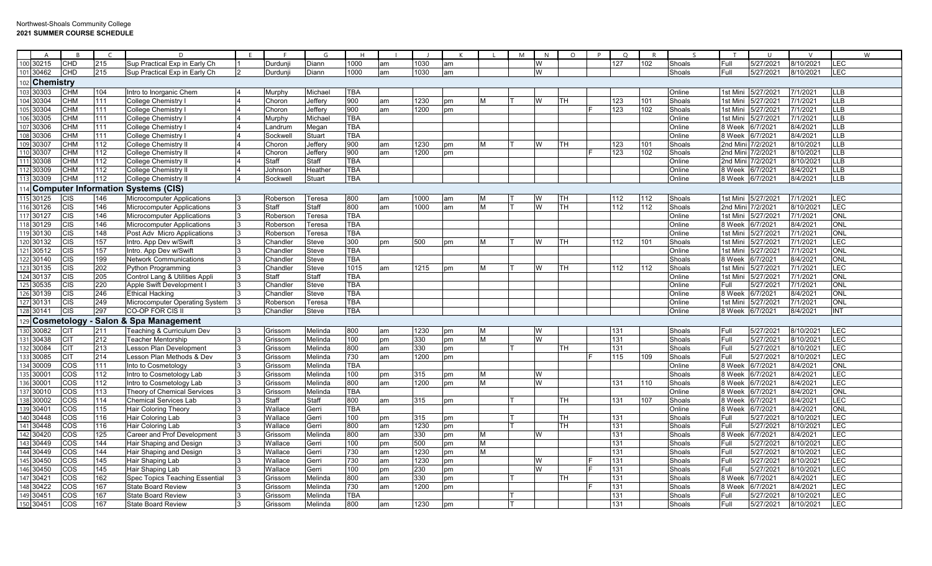|     | $\overline{A}$ |            | $\epsilon$ | D                                  | F. |          | G            | H          |    |      |    |          | M | N | $\Omega$ | $\Omega$ | R   |        |                   | $\blacksquare$    |           |                           | W |
|-----|----------------|------------|------------|------------------------------------|----|----------|--------------|------------|----|------|----|----------|---|---|----------|----------|-----|--------|-------------------|-------------------|-----------|---------------------------|---|
|     | 100 30215      | CHD        | 215        | Sup Practical Exp in Early Ch      |    | Durduni  | Diann        | 1000       | am | 1030 | am |          |   | W |          | 127      | 102 | Shoals | Full              | 5/27/2021         | 8/10/2021 | <b>LEC</b>                |   |
|     | 101 30462      | CHD        | 215        | Sup Practical Exp in Early Ch      |    | Durdunji | Diann        | 1000       | am | 1030 | am |          |   | W |          |          |     | Shoals | Full              | 5/27/2021         | 8/10/2021 | LEC                       |   |
|     |                |            |            |                                    |    |          |              |            |    |      |    |          |   |   |          |          |     |        |                   |                   |           |                           |   |
|     | 102 Chemistry  |            |            |                                    |    |          |              |            |    |      |    |          |   |   |          |          |     |        |                   |                   |           |                           |   |
|     | 103 30303      | СНМ        | 104        | Intro to Inorganic Chem            |    | Murphy   | Michael      | <b>TBA</b> |    |      |    |          |   |   |          |          |     | Online | 1st Mini          | 5/27/2021         | 7/1/2021  | <b>LLB</b>                |   |
|     | 104 30304      | СНМ        | 111        | College Chemistry                  |    | Choron   | Jeffery      | 900        | am | 1230 | pm | M        |   | W | TН       | 123      | 101 | Shoals | 1st Mini          | 5/27/2021         | 7/1/2021  | <b>LLB</b>                |   |
|     | 105 30304      | CHM        | 111        | College Chemistry                  |    | Choron   | Jeffery      | 900        | am | 1200 | pm |          |   |   |          | 123      | 102 | Shoals | 1st Mini          | 5/27/2021         | 7/1/2021  | LLB                       |   |
|     | 106 30305      | CHM        | 111        | <b>College Chemistry</b>           |    | Murphy   | Michael      | <b>TBA</b> |    |      |    |          |   |   |          |          |     | Online | 1st Mini          | 5/27/2021         | 7/1/2021  | $\overline{\mathsf{LLB}}$ |   |
|     | 107 30306      | СНМ        | 111        | College Chemistry                  |    | andrum   | Megar        | <b>TBA</b> |    |      |    |          |   |   |          |          |     | Online | 8 Week            | 6/7/2021          | 8/4/2021  | $\overline{\mathsf{LLB}}$ |   |
|     | 108 30306      | CHM        | 111        | College Chemistry                  |    | Sockwel  | Stuart       | <b>TBA</b> |    |      |    |          |   |   |          |          |     | Online | 8 Week            | 6/7/2021          | 8/4/2021  | $\overline{LLB}$          |   |
|     | 109 30307      | СНМ        | 112        | <b>College Chemistry II</b>        |    | Choron   | Jeffery      | 900        | am | 1230 | pm | М        |   | W | TН       | 123      | 101 | Shoals | 2nd Mini          | 7/2/2021          | 8/10/2021 | LLB                       |   |
|     | 10 30307       | CHM        | 112        | <b>College Chemistry II</b>        |    | Choron   | Jeffery      | 900        | am | 1200 | pm |          |   |   |          | 123      | 102 | Shoals |                   | 2nd Mini 7/2/2021 | 8/10/2021 | $\overline{\mathsf{LLB}}$ |   |
|     | 11130308       | CHM        | 112        | <b>College Chemistry II</b>        |    | Staff    | Staff        | TBA        |    |      |    |          |   |   |          |          |     | Online | 2nd Mini 7/2/2021 |                   | 8/10/2021 | LLB                       |   |
|     | 112 30309      | CHM        | 112        | <b>College Chemistry II</b>        |    | Johnson  | Heather      | <b>TBA</b> |    |      |    |          |   |   |          |          |     | Online | 8 Week            | 6/7/2021          | 8/4/2021  | <b>LLB</b>                |   |
| 113 | 30309          | <b>CHM</b> | 112        | <b>College Chemistry II</b>        |    | Sockwel  | Stuart       | TBA        |    |      |    |          |   |   |          |          |     | Online | 8 Week            | 6/7/2021          | 8/4/2021  | <b>LLB</b>                |   |
|     |                |            |            | Computer Information Systems (CIS) |    |          |              |            |    |      |    |          |   |   |          |          |     |        |                   |                   |           |                           |   |
|     | 115 30125      | CIS        | 146        | <b>Microcomputer Applications</b>  |    | Roberson | Teresa       | 800        | am | 1000 | am | M        |   |   | TН       | 112      | 112 | Shoals | 1st Mini          | 5/27/2021         | 7/1/2021  | LEC                       |   |
|     | 116 30126      | CIS        | 146        | <b>Microcomputer Applications</b>  |    | Staff    | <b>Staff</b> | 800        | am | 1000 | am | M        |   | W | TН       | 112      | 112 | Shoals | 2nd Mini          | //2/2021          | 8/10/2021 | LEC                       |   |
|     | 117 30127      | CIS        | 146        | <b>Microcomputer Applications</b>  |    | Roberson | Teresa       | <b>TBA</b> |    |      |    |          |   |   |          |          |     | Online | 1st Mini          | 5/27/2021         | 7/1/2021  | ONL                       |   |
|     | 118 30129      | CIS        | 146        | <b>Microcomputer Applications</b>  |    | Roberson | Teresa       | <b>TBA</b> |    |      |    |          |   |   |          |          |     | Online | 8 Week            | 6/7/2021          | 8/4/2021  | <b>ONL</b>                |   |
|     | 1930130        | CIS        | 148        | Post Adv Micro Applications        |    | Roberson | Teresa       | <b>TBA</b> |    |      |    |          |   |   |          |          |     | Online | 1st Mini          | 5/27/2021         | 7/1/2021  | <b>NO</b>                 |   |
|     | 120 30132      | CIS        | 157        | Intro. App Dev w/Swift             |    | Chandler | Steve        | 300        | pm | 500  | pm | M        |   | W | TН       | 112      | 101 | Shoals | 1st Mini          | 5/27/2021         | 7/1/2021  | LEC                       |   |
|     | 12130512       | <b>CIS</b> | 157        | Intro. App Dev w/Swift             |    | Chandler | <b>Steve</b> | <b>TBA</b> |    |      |    |          |   |   |          |          |     | Online | 1st Mini          | 5/27/2021         | 7/1/2021  | ONL                       |   |
|     | 122 30140      | <b>CIS</b> | 199        | <b>Network Communications</b>      |    | Chandlei | Steve        | TBA        |    |      |    |          |   |   |          |          |     | Shoals | 8 Week            | 6/7/2021          | 8/4/2021  | ONL                       |   |
|     | 23 30135       | CIS        | 202        | <b>Python Programming</b>          |    | Chandler | Steve        | 1015       | am | 1215 | pm | M        |   | W | TH       | 112      | 112 | Shoals | 1st Mini          | 5/27/2021         | 7/1/2021  | LEC                       |   |
|     | 24 30137       | CIS        | 205        | Control Lang & Utilities Appli     |    | Staff    | Staff        | <b>TBA</b> |    |      |    |          |   |   |          |          |     | Online | 1st Mini          | 5/27/2021         | 7/1/2021  | ONL                       |   |
|     | 125 30535      | CIS        | 220        | Apple Swift Development I          |    | Chandlei | Steve        | <b>TBA</b> |    |      |    |          |   |   |          |          |     | Online | Full              | 5/27/2021         | 7/1/2021  | ONL                       |   |
|     | 126 30139      | <b>CIS</b> | 246        | <b>Ethical Hacking</b>             |    | Chandlei | <b>Steve</b> | <b>TBA</b> |    |      |    |          |   |   |          |          |     | Online | 8 Week            | 6/7/2021          | 8/4/2021  | ONL                       |   |
|     | 127 30131      | <b>CIS</b> | 249        | Microcomputer Operating System     |    | Roberson | Teresa       | <b>TBA</b> |    |      |    |          |   |   |          |          |     | Online | 1st Min           | 5/27/202          | 7/1/2021  | ONL                       |   |
| 28  | 30141          | CIS        | 297        | CO-OP FOR CIS II                   |    | Chandler | <b>Steve</b> | <b>TBA</b> |    |      |    |          |   |   |          |          |     | Online | 8 Week            | 6/7/2021          | 8/4/2021  | <b>INT</b>                |   |
| 120 | Cosmetology    |            |            | <b>Salon &amp; Spa Management</b>  |    |          |              |            |    |      |    |          |   |   |          |          |     |        |                   |                   |           |                           |   |
| 130 | 30082          | CIT        | 211        | Teaching & Curriculum Dev          |    | Grissom  | Melinda      | 800        | am | 1230 | pm | <b>M</b> |   | W |          | 131      |     | Shoals | Full              | 5/27/2021         | 8/10/2021 | LEC                       |   |
|     | 131 30438      | <b>CIT</b> | 212        | Teacher Mentorship                 |    | Grissom  | Melinda      | 100        | pm | 330  | pm | M        |   | W |          | 131      |     | Shoals | Full              | 5/27/2021         | 8/10/2021 | LEC                       |   |
|     | 32 30084       | CIT        | 213        | Lesson Plan Development            |    | Grissom  | Melinda      | 800        | am | 330  | pm |          |   |   | TН       | 131      |     | Shoals | Full              | 5/27/2021         | 8/10/2021 | LEC                       |   |
|     | 30085          | CIT        | 214        | Lesson Plan Methods & Dev          |    | Grissom  | Melinda      | 730        | am | 1200 | pm |          |   |   |          | 115      | 109 | Shoals | Full              | 5/27/2021         | 8/10/2021 | LEC                       |   |
|     | 34 30009       | COS        | 111        | Into to Cosmetology                |    | Grissom  | Melinda      | <b>TBA</b> |    |      |    |          |   |   |          |          |     | Online | 8 Week            | 6/7/2021          | 8/4/2021  | ONL                       |   |
|     | 135 30001      | cos        | 112        | Intro to Cosmetology Lab           |    | Grissom  | Melinda      | 100        | pm | 315  | pm | M        |   | W |          |          |     | Shoals | 8 Week            | 6/7/2021          | 8/4/2021  | LEC                       |   |
|     | 136 30001      | cos        | 112        | Intro to Cosmetology Lab           |    | Grissom  | Melinda      | 800        | am | 1200 | pm | M        |   | W |          | 131      | 110 | Shoals | 8 Week            | 6/7/2021          | 8/4/2021  | LEC                       |   |
|     | 37 30010       | cos        | 113        | Theory of Chemical Services        |    | Grissom  | Melinda      | <b>TBA</b> |    |      |    |          |   |   |          |          |     | Online | 8 Week            | 6/7/2021          | 8/4/2021  | <b>ONL</b>                |   |
|     | 138 30002      | cos        | 114        | <b>Chemical Services Lab</b>       |    | Staff    | Staff        | 800        | am | 315  | pm |          |   |   | тн       | 131      | 107 | Shoals | 8 Week            | 6/7/2021          | 8/4/2021  | LEC                       |   |
| 139 | 30401          | COS        | 115        | <b>Hair Coloring Theory</b>        |    | Wallace  | Gerri        | <b>TBA</b> |    |      |    |          |   |   |          |          |     | Online | 8 Week            | 6/7/2021          | 8/4/2021  | <b>ONL</b>                |   |
|     | 140 30448      | cos        | 116        | Hair Coloring Lab                  |    | Wallace  | Gerri        | 100        | pm | 315  | pm |          |   |   | тн       | 131      |     | Shoals | Full              | 5/27/2021         | 8/10/2021 | LEC                       |   |
|     | 141 30448      | COS        | 116        | Hair Coloring Lab                  |    | Wallace  | Gerri        | 800        | am | 1230 | pm |          |   |   | TН       | 131      |     | Shoals | Full              | 5/27/2021         | 8/10/2021 | <b>LEC</b>                |   |
| 42  | 30420          | cos        | 125        | Career and Prof Development        |    | Grissom  | Melinda      | 800        | am | 330  | pm | M        |   | W |          | 131      |     | Shoals | 8 Week            | 6/7/2021          | 8/4/2021  | LEC                       |   |
| 143 | 30449          | cos        | 144        | Hair Shaping and Design            |    | Wallace  | Gerri        | 100        | pm | 500  | pm | M        |   |   |          | 131      |     | Shoals | Full              | 5/27/2021         | 8/10/2021 | LEC                       |   |
|     | 144 30449      | cos        | 144        | Hair Shaping and Design            |    | Wallace  | Gerri        | 730        | am | 1230 | pm | M        |   |   |          | 131      |     | Shoals | Full              | 5/27/2021         | 8/10/2021 | LEC                       |   |
| 145 | 30450          | cos        | 145        | Hair Shaping Lab                   |    | Wallace  | Gerri        | 730        | am | 1230 | pm |          |   | W |          | 131      |     | Shoals | Full              | 5/27/2021         | 8/10/2021 | LEC                       |   |
|     | 146 30450      | cos        | 145        | Hair Shaping Lab                   |    | Wallace  | Gerri        | 100        | pm | 230  | pm |          |   | W |          | 131      |     | Shoals | Full              | 5/27/2021         | 8/10/2021 | LEC                       |   |
| 47  | 30421          | cos        | 162        | Spec Topics Teaching Essential     |    | Grissom  | Melinda      | 800        | am | 330  | pm |          |   |   | TH       | 131      |     | Shoals | 8 Week            | 6/7/2021          | 8/4/2021  | LEC                       |   |
|     | 48 30422       | cos        | 167        | <b>State Board Review</b>          |    | Grissom  | Melinda      | 730        | am | 1200 | pm |          |   |   |          | 131      |     | Shoals | 8 Weel            | 6/7/2021          | 8/4/2021  | LEC                       |   |
|     | 149 30451      | cos        | 167        | <b>State Board Review</b>          |    | Grissom  | Melinda      | <b>TBA</b> |    |      |    |          |   |   |          | 131      |     | Shoals | Full              | 5/27/2021         | 8/10/2021 | LEC                       |   |
|     | 150 30451      | COS        | 167        | <b>State Board Review</b>          |    | Grissom  | Melinda      | 800        | am | 1230 | pm |          |   |   |          | 131      |     | Shoals | Full              | 5/27/2021         | 8/10/2021 | LEC                       |   |
|     |                |            |            |                                    |    |          |              |            |    |      |    |          |   |   |          |          |     |        |                   |                   |           |                           |   |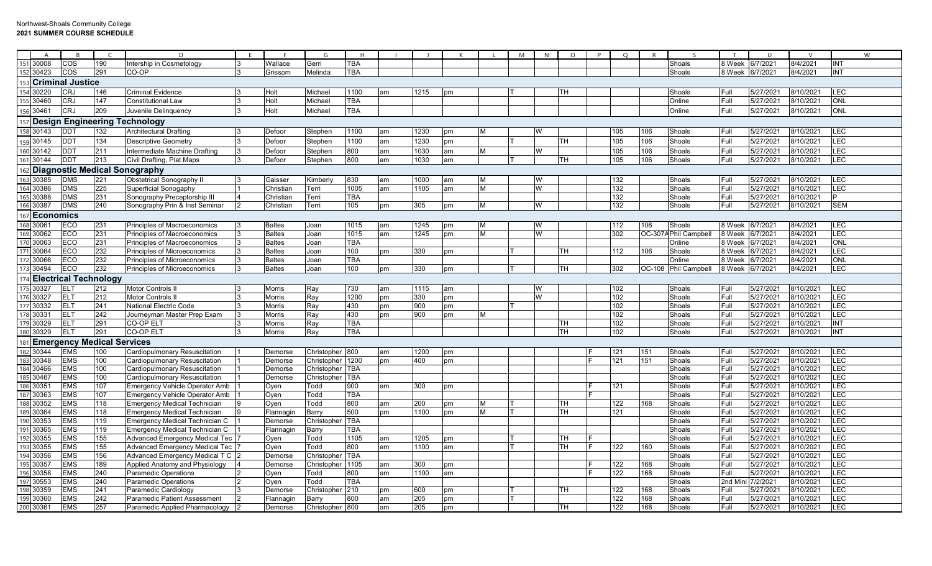|                  | $\overline{A}$ | $\overline{B}$                    |     |                                       | E  |               | G                | H          |    |      |    |   | M | $\mathsf{N}$<br>$\circ$ | D | $\circ$ |     | $\varsigma$           | T       | $\cup$    | $\mathsf{V}$ |            | W |
|------------------|----------------|-----------------------------------|-----|---------------------------------------|----|---------------|------------------|------------|----|------|----|---|---|-------------------------|---|---------|-----|-----------------------|---------|-----------|--------------|------------|---|
|                  | 151 30008      | COS                               | 190 | Intership in Cosmetology              |    | Wallace       | Gerri            | <b>TBA</b> |    |      |    |   |   |                         |   |         |     | Shoals                | 8 Week  | 6/7/202   | 8/4/2021     | <b>INT</b> |   |
|                  | 30423          | cos                               | 291 | CO-OP                                 | 13 | Grissom       | Melinda          | <b>TBA</b> |    |      |    |   |   |                         |   |         |     | Shoals                | 8 Week  | 6/7/2021  | 8/4/2021     | <b>INT</b> |   |
|                  |                | <b>Criminal Justice</b>           |     |                                       |    |               |                  |            |    |      |    |   |   |                         |   |         |     |                       |         |           |              |            |   |
|                  | 30220          | <b>CRJ</b>                        | 146 | <b>Criminal Evidence</b>              |    | Holt          | Michael          | 1100       | am | 1215 | pm |   |   | TН                      |   |         |     | Shoals                | Full    | 5/27/2021 | 8/10/2021    | LEC        |   |
| $\overline{155}$ | 30460          | <b>CRJ</b>                        | 147 | <b>Constitutional Law</b>             |    | Holt          | Michael          | <b>TBA</b> |    |      |    |   |   |                         |   |         |     | Online                | Full    | 5/27/2021 | 8/10/2021    | <b>ONL</b> |   |
|                  | 30461          | <b>CRJ</b>                        | 209 | Juvenile Delinquency                  |    | Holt          | Michael          | <b>TBA</b> |    |      |    |   |   |                         |   |         |     | Online                | Full    | 5/27/2021 | 8/10/2021    | <b>ONL</b> |   |
|                  |                |                                   |     |                                       |    |               |                  |            |    |      |    |   |   |                         |   |         |     |                       |         |           |              |            |   |
|                  |                |                                   |     | <b>Design Engineering Technology</b>  |    |               |                  |            |    |      |    |   |   |                         |   |         |     |                       |         |           |              |            |   |
|                  | 158 30143      | <b>DDT</b>                        | 132 | <b>Architectural Drafting</b>         |    | Defoor        | Stephen          | 1100       | am | 1230 | pm | M |   | w                       |   | 105     | 106 | Shoals                | Full    | 5/27/2021 | 8/10/2021    | LEC        |   |
|                  | 159 30145      | <b>DDT</b>                        | 134 | <b>Descriptive Geometry</b>           |    | Defoor        | Stephen          | 1100       | am | 1230 | pm |   |   | TН                      |   | 105     | 106 | Shoals                | Full    | 5/27/2021 | 8/10/2021    | LEC        |   |
|                  | 160 30142      | <b>DDT</b>                        | 211 | Intermediate Machine Drafting         |    | Defoor        | Stephen          | 800        | am | 1030 | am | M |   | W                       |   | 105     | 106 | Shoals                | Full    | 5/27/2021 | 8/10/2021    | LEC        |   |
| 161              | 30144          | <b>DD1</b>                        | 213 | Civil Drafting, Plat Maps             | 13 | Defoor        | Stephen          | 800        | am | 1030 | am |   |   | TH                      |   | 105     | 106 | Shoals                | Full    | 5/27/2021 | 8/10/2021    | LEC        |   |
|                  |                |                                   |     | <b>Diagnostic Medical Sonography</b>  |    |               |                  |            |    |      |    |   |   |                         |   |         |     |                       |         |           |              |            |   |
| 163              | 30385          | <b>DMS</b>                        | 221 | <b>Obstetrical Sonography II</b>      |    | Gaisser       | Kimberly         | 830        | am | 1000 | am | M |   | W                       |   | 132     |     | Shoals                | Full    | 5/27/2021 | 8/10/2021    | LEC        |   |
|                  | 164 30386      | <b>DMS</b>                        | 225 | Superficial Sonogaphy                 |    | Christiar     | Terri            | 1005       | am | 1105 | am | M |   | W                       |   | 132     |     | Shoals                | Full    | 5/27/2021 | 8/10/2021    | LEC        |   |
|                  | 165 30388      | <b>DMS</b>                        | 231 | Sonography Preceptorship III          |    | Christian     | Terri            | <b>TBA</b> |    |      |    |   |   |                         |   | 132     |     | Shoals                | Full    | 5/27/2021 | 8/10/2021    | P          |   |
|                  | 166 30387      | <b>DMS</b>                        | 240 | Sonography Prin & Inst Seminar        |    | Christian     | Terri            | 105        | pm | 305  | pm | M |   | W                       |   | 132     |     | Shoals                | Full    | 5/27/2021 | 8/10/2021    | <b>SEM</b> |   |
| 167              | Economics      |                                   |     |                                       |    |               |                  |            |    |      |    |   |   |                         |   |         |     |                       |         |           |              |            |   |
|                  | 168 30061      | <b>ECO</b>                        | 231 | <b>Principles of Macroeconomics</b>   |    | <b>Baltes</b> | Joan             | 1015       | am | 1245 | pm | M |   | W                       |   | 112     | 106 | Shoals                | 8 Week  | 6/7/2021  | 8/4/2021     | LEC        |   |
|                  | 169 30062      | <b>ECO</b>                        | 231 | Principles of Macroeconomics          |    | <b>Baltes</b> | Joan             | 1015       | am | 1245 | pm | M |   | W                       |   | 302     |     | OC-307A Phil Campbell | 8 Week  | 6/7/2021  | 8/4/2021     | LEC        |   |
|                  | 170 30063      | <b>ECO</b>                        | 231 | Principles of Macroeconomics          |    | <b>Baltes</b> | Joan             | <b>TBA</b> |    |      |    |   |   |                         |   |         |     | Online                | 8 Week  | 6/7/2021  | 8/4/2021     | <b>ONL</b> |   |
|                  | 171 30064      | ECO                               | 232 | <b>Principles of Microeconomics</b>   |    | <b>Baltes</b> | Joan             | 100        | pm | 330  | pm |   |   | TН                      |   | 112     | 106 | Shoals                | 8 Week  | 6/7/202   | 8/4/2021     | LEC        |   |
|                  | 172 30066      | ECO                               | 232 | <b>Principles of Microeconomics</b>   |    | <b>Baltes</b> | Joan             | <b>TBA</b> |    |      |    |   |   |                         |   |         |     | Online                | 8 Week  | 6/7/202   | 8/4/2021     | <b>ONL</b> |   |
|                  | 173 30494      | ECO                               | 232 | Principles of Microeconomics          |    | <b>Baltes</b> | Joan             | 100        | pm | 330  | pm |   |   | TН                      |   | 302     |     | OC-108 Phil Campbell  | 8 Week  | 6/7/2021  | 8/4/2021     | LEC        |   |
|                  |                | <b>Electrical Technology</b>      |     |                                       |    |               |                  |            |    |      |    |   |   |                         |   |         |     |                       |         |           |              |            |   |
|                  | 175 30327      | ELT                               | 212 | <b>Motor Controls II</b>              |    | <b>Morris</b> | Ray              | 730        | am | 1115 | am |   |   | w                       |   | 102     |     | Shoals                | Full    | 5/27/2021 | 8/10/2021    | LEC        |   |
|                  | 176 30327      | <b>ELT</b>                        | 212 | <b>Motor Controls II</b>              |    | <b>Morris</b> | Ray              | 1200       | pm | 330  | pm |   |   | W                       |   | 102     |     | Shoals                | Full    | 5/27/2021 | 3/10/2021    | LEC        |   |
|                  | 177 30332      | <b>ELT</b>                        | 241 | National Electric Code                |    | Morris        | Ray              | 430        | pm | 900  | pm |   |   |                         |   | 102     |     | Shoals                | Full    | 5/27/2021 | 8/10/2021    | LEC        |   |
|                  | 178 30331      | ELT                               | 242 | Journeyman Master Prep Exam           |    | <b>Morris</b> | Ray              | 430        | pm | 900  | pm | M |   |                         |   | 102     |     | Shoals                | Full    | 5/27/2021 | 8/10/2021    | LEC        |   |
|                  | 179 30329      | <b>ELT</b>                        | 291 | CO-OP ELT                             |    | Morris        | Ray              | <b>TBA</b> |    |      |    |   |   | TН                      |   | 102     |     | Shoals                | Full    | 5/27/2021 | 8/10/2021    | <b>INT</b> |   |
|                  | 180 30329      | <b>ELT</b>                        | 291 | CO-OP ELT                             | 13 | <b>Morris</b> | Ray              | <b>TBA</b> |    |      |    |   |   | TН                      |   | 102     |     | Shoals                | Full    | 5/27/2021 | 8/10/2021    | <b>INT</b> |   |
| 181              |                | <b>Emergency Medical Services</b> |     |                                       |    |               |                  |            |    |      |    |   |   |                         |   |         |     |                       |         |           |              |            |   |
|                  | 182 30344      | <b>EMS</b>                        | 100 | Cardiopulmonary Resuscitation         |    | Demorse       | Christopher 800  |            | am | 1200 | pm |   |   |                         |   | 121     | 151 | Shoals                | Full    | 5/27/2021 | 8/10/2021    | LEC        |   |
|                  | 183 30348      | <b>EMS</b>                        | 100 | Cardiopulmonary Resuscitation         |    | Demorse       | Christopher 1200 |            | pm | 400  | pm |   |   |                         |   | 121     | 151 | Shoals                | Full    | 5/27/2021 | 8/10/2021    | LEC        |   |
|                  | 184 30466      | <b>EMS</b>                        | 100 | Cardiopulmonary Resuscitation         |    | Demorse       | Christopher TBA  |            |    |      |    |   |   |                         |   |         |     | Shoals                | Full    | 5/27/2021 | 8/10/2021    | LEC        |   |
| 185              | 30467          | <b>EMS</b>                        | 100 | Cardiopulmonary Resuscitation         |    | Demorse       | Christopher TBA  |            |    |      |    |   |   |                         |   |         |     | Shoals                | Full    | 5/27/2021 | 3/10/2021    | LEC        |   |
|                  | 186 30351      | <b>EMS</b>                        | 107 | <b>Emergency Vehicle Operator Amb</b> |    | Oyen          | Todd             | 900        | am | 300  | pm |   |   |                         |   | 121     |     | Shoals                | Full    | 5/27/2021 | 8/10/2021    | LEC        |   |
|                  | 187 30363      | <b>EMS</b>                        | 107 | <b>Emergency Vehicle Operator Amb</b> |    | Oyen          | Todd             | <b>TBA</b> |    |      |    |   |   |                         |   |         |     | Shoals                | Full    | 5/27/2021 | 8/10/2021    | LEC        |   |
|                  | 188 30352      | <b>EMS</b>                        | 118 | <b>Emergency Medical Technician</b>   |    | Oyen          | Todd             | 800        | am | 200  | pm | M |   | TН                      |   | 122     | 168 | Shoals                | Full    | 5/27/2021 | 8/10/2021    | LEC        |   |
|                  | 189 30364      | <b>EMS</b>                        | 118 | <b>Emergency Medical Technician</b>   |    | Flannagin     | Barry            | 500        | pm | 1100 | pm | M |   | TН                      |   | 121     |     | Shoals                | Full    | 5/27/2021 | 3/10/2021    | $E$ C      |   |
| 190              | 30353          | <b>EMS</b>                        | 119 | Emergency Medical Technician C        |    | Demorse       | Christopher      | <b>TBA</b> |    |      |    |   |   |                         |   |         |     | Shoals                | Full    | 5/27/2021 | 3/10/2021    | E          |   |
|                  | 191 30365      | <b>EMS</b>                        | 119 | Emergency Medical Technician C        |    | Flannagin     | Barry            | <b>TBA</b> |    |      |    |   |   |                         |   |         |     | Shoals                | Full    | 5/27/2021 | 8/10/2021    | LEC        |   |
|                  | 192 30355      | <b>EMS</b>                        | 155 | <b>Advanced Emergency Medical Tec</b> |    | Oyen          | Todd             | 1105       | am | 1205 | pm |   |   | TН                      |   |         |     | Shoals                | Full    | 5/27/2021 | 8/10/2021    | LEC        |   |
|                  | 193 30355      | <b>EMS</b>                        | 155 | <b>Advanced Emergency Medical Tec</b> |    | Oyen          | Todd             | 800        | am | 1100 | am |   |   | TН                      |   | 122     | 160 | Shoals                | Full    | 5/27/2021 | 8/10/2021    | LEC        |   |
|                  | 194 30356      | <b>EMS</b>                        | 156 | Advanced Emergency Medical T C 2      |    | Demorse       | Christopher      | <b>TBA</b> |    |      |    |   |   |                         |   |         |     | Shoals                | Full    | 5/27/2021 | 8/10/2021    | $E$ C      |   |
| 195              | 30357          | <b>EMS</b>                        | 189 | Applied Anatomy and Physiology        |    | Demorse       | Christopher      | 1105       | am | 300  | pm |   |   |                         |   | 122     | 168 | Shoals                | Full    | 5/27/2021 | 8/10/2021    | $E$ C      |   |
| 196              | 30358          | <b>EMS</b>                        | 240 | <b>Paramedic Operations</b>           |    | Oyen          | Todd             | 800        | am | 1100 | am |   |   |                         |   | 122     | 168 | Shoals                | Full    | 5/27/2021 | 8/10/2021    | LEC        |   |
|                  | 197 30553      | <b>EMS</b>                        | 240 | <b>Paramedic Operations</b>           |    | Oven          | Todd             | <b>TBA</b> |    |      |    |   |   |                         |   |         |     | Shoals                | 2nd Min | 7/2/2021  | 8/10/2021    | LEC        |   |
|                  | 198 30359      | <b>EMS</b>                        | 241 | Paramedic Cardiology                  |    | Demorse       | Christopher 210  |            | pm | 600  | pm |   |   | TН                      |   | 122     | 168 | Shoals                | Full    | 5/27/2021 | 8/10/2021    | LEC        |   |
|                  | 199 30360      | <b>EMS</b>                        | 242 | <b>Paramedic Patient Assessment</b>   |    | Flannagin     | Barry            | 800        | am | 205  | pm |   |   |                         |   | 122     | 168 | Shoals                | Full    | 5/27/2021 | 8/10/2021    | $E$ C      |   |
|                  | 200 30361      | <b>EMS</b>                        | 257 | Paramedic Applied Pharmacology        |    | Demorse       | Christopher 800  |            | am | 205  | pm |   |   | TН                      |   | 122     | 168 | Shoals                | Full    | 5/27/2021 | 8/10/2021    | LEC        |   |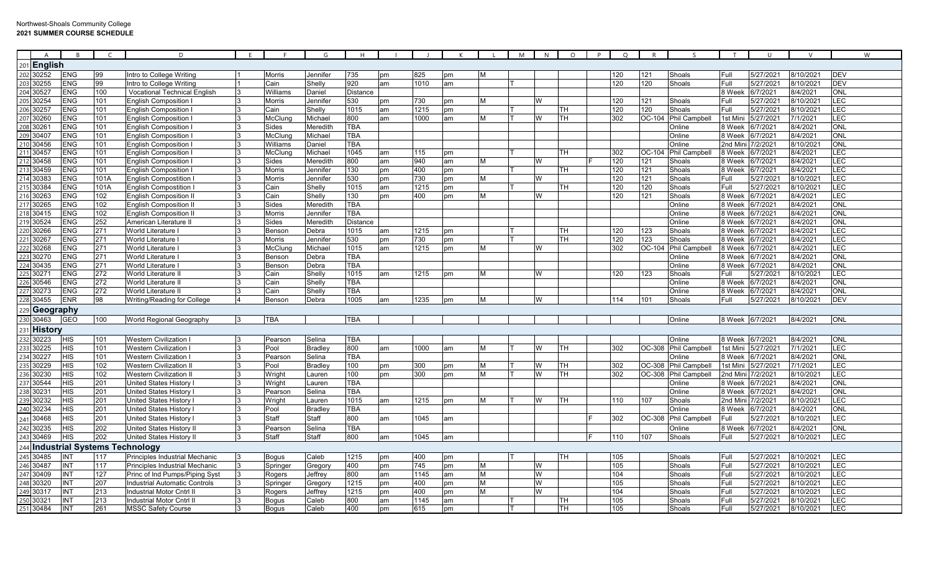| $\overline{A}$               | R                                    |                  | D                                                                      |              |                        | G                | H               |          |            |          |   | M | N | $\Omega$  | P | $\circ$    | R        | $\varsigma$          |                 | U                      |                        | W          |
|------------------------------|--------------------------------------|------------------|------------------------------------------------------------------------|--------------|------------------------|------------------|-----------------|----------|------------|----------|---|---|---|-----------|---|------------|----------|----------------------|-----------------|------------------------|------------------------|------------|
| $201$  English               |                                      |                  |                                                                        |              |                        |                  |                 |          |            |          |   |   |   |           |   |            |          |                      |                 |                        |                        |            |
| 202<br>30252                 | <b>ENG</b>                           | 99               | Intro to College Writing                                               |              | <b>Morris</b>          | Jennifeı         | 735             | pm       | 825        | pm       | M |   |   |           |   | 120        | 121      | Shoals               | Full            | 5/27/2021              | 8/10/2021              | <b>DEV</b> |
| 203<br>30255                 | <b>ENG</b>                           | 99               | Intro to College Writing                                               |              | Cain                   | Shelly           | 920             | am       | 1010       | am       |   |   |   |           |   | 120        | 120      | Shoals               | Full            | 5/27/2021              | 3/10/2021              | <b>DEV</b> |
| 204<br>30527                 | <b>ENG</b>                           | 100              | <b>Vocational Technical English</b>                                    |              | Williams               | Daniel           | <b>Distance</b> |          |            |          |   |   |   |           |   |            |          |                      | 8 Weel          | 6/7/2021               | 3/4/2021               | <b>ONL</b> |
| 205<br>30254                 | <b>ENG</b>                           | 101              | English Composition                                                    |              | Morris                 | Jennifeı         | 530             | pm       | 730        | pm       | M |   | W |           |   | 120        | 121      | Shoals               | Full            | 5/27/2021              | 8/10/2021              | LEC        |
| 30257<br>206                 | <b>ENG</b>                           | 101              | English Composition                                                    |              | Cain                   | Shelly           | 1015            | am       | 1215       | pm       |   |   |   | TН        |   | 120        | 120      | Shoals               | Full            | 5/27/2021              | 8/10/2021              | LEC        |
| 207<br>30260                 | <b>ENG</b>                           | 101              | <b>English Composition I</b>                                           |              | McClung                | Michael          | 800             | am       | 1000       | am       | M |   | W | TН        |   | 302        | OC-104   | <b>Phil Campbell</b> | 1st Mini        | 5/27/2021              | 7/1/2021               | LEC        |
| 208<br>3026                  | <b>ENG</b>                           | 101              | English Composition                                                    |              | Sides                  | Meredith         | <b>TBA</b>      |          |            |          |   |   |   |           |   |            |          | Online               | 8 Week          | 6/7/2021               | 8/4/2021               | ONL        |
| 209<br>30407                 | <b>ENG</b>                           | 101              | English Composition                                                    |              | McClung                | Michae           | <b>TBA</b>      |          |            |          |   |   |   |           |   |            |          | Online               | 8 Week          | 6/7/2021               | 8/4/2021               | <b>ONL</b> |
| 21(<br>30456                 | <b>ENG</b>                           | 101              | English Composition                                                    |              | Williams               | Daniel           | <b>TBA</b>      |          |            |          |   |   |   |           |   |            |          | Online               | 2nd Mini        | 7/2/2021               | 8/10/2021              | <b>ONL</b> |
| 30457<br>211                 | <b>ENG</b>                           | 101              | English Composition                                                    |              | McClung                | Michael          | 1045            | am       | 115        | pm       |   |   |   | TН        |   | 302        | OC-104   | <b>Phil Campbell</b> | 8 Week          | 6/7/2021               | 8/4/2021               | LEC        |
| 30458                        | <b>ENG</b>                           | 101              | <b>English Composition I</b>                                           |              | Sides                  | Meredith         | 800             | am       | 940        | am       | M |   | W |           |   | 120        | 121      | Shoals               | 8 Week          | 6/7/2021               | 3/4/2021               | LEC        |
| 213<br>30459                 | <b>ENG</b>                           | 101              | <b>English Composition I</b>                                           |              | Morris                 | Jennifer         | 130             | pm       | 400        | pm       |   |   |   | TH        |   | 120        | 121      | Shoals               | 8 Week          | 6/7/2021               | 8/4/2021               | LEC        |
| 30383                        | <b>ENG</b>                           | 101A             | English Compostition                                                   |              | Morris                 | Jennifeı         | 530             | pm       | 730        | pm       | M |   | W |           |   | 120        | 121      | Shoals               | Full            | 5/27/2021              | 8/10/2021              | LEC        |
| 30384<br>215                 | <b>ENG</b>                           | 101A             | English Compostition                                                   |              | Cain                   | Shelly           | 1015            | am       | 1215       | pm       |   |   |   | TН        |   | 120        | 120      | Shoals               | Full            | 5/27/2021              | 8/10/2021              | LEC        |
| 30263<br>216                 | <b>ENG</b>                           | 102              | <b>English Composition II</b>                                          |              | Cain                   | Shelly           | 130             | pm       | 400        | pm       | M |   | W |           |   | 120        | 121      | Shoals               | 8 Week          | 6/7/2021               | 8/4/2021               | LEC        |
| 217<br>30265                 | <b>ENG</b>                           | 102              | <b>English Composition II</b>                                          |              | Sides                  | Meredith         | <b>TBA</b>      |          |            |          |   |   |   |           |   |            |          | Online               | 8 Week          | 6/7/2021               | 8/4/2021               | <b>ONL</b> |
| 218<br>30415                 | <b>ENG</b>                           | 102              | <b>English Composition II</b>                                          |              | Morris                 | Jennifer         | <b>TBA</b>      |          |            |          |   |   |   |           |   |            |          | Online               | 8 Week          | 6/7/2021               | 8/4/2021               | <b>ONL</b> |
| 30524<br>219                 | <b>ENG</b>                           | 252              | American Literature II                                                 |              | Sides                  | Meredith         | <b>Distance</b> |          |            |          |   |   |   |           |   |            |          | Online               | 8 Week          | 6/7/2021               | 8/4/2021               | <b>ONL</b> |
| 30266<br>220                 | <b>ENG</b>                           | 271              | World Literature                                                       |              | Benson                 | Debra            | 1015            | am       | 1215       | pm       |   |   |   | TH        |   | 120        | 123      | Shoals               | 8 Week          | 6/7/2021               | 8/4/2021               | LEC        |
| 221<br>30267                 | <b>ENG</b>                           | 271              | World Literature I                                                     |              | Morris                 | Jennifer         | 530             | pm       | 730        | pm       |   |   |   | TН        |   | 120        | 123      | Shoals               | 8 Week          | 6/7/2021               | 8/4/2021               | LEC        |
| 222<br>30268                 | <b>ENG</b>                           | 271              | World Literature                                                       |              | McClung                | Michae           | 1015            | am       | 1215       | pm       | M |   | W |           |   | 302        | OC-104   | <b>Phil Campbell</b> | 3 Week          | 6/7/202                | 8/4/2021               | LEC        |
| 223<br>30270                 | <b>ENG</b>                           | 271              | World Literature                                                       |              | Benson                 | Debra            | <b>TBA</b>      |          |            |          |   |   |   |           |   |            |          | Online               | 8 Week          | 6/7/202                | 8/4/2021               | ONL        |
| 30435<br>224                 | <b>ENG</b>                           | 271              | World Literature                                                       |              | Benson                 | Debra            | <b>TBA</b>      |          |            |          |   |   |   |           |   |            |          | Online               | 8 Week          | 6/7/2021               | 8/4/2021               | <b>ONL</b> |
| 3027'                        | <b>ENG</b>                           | 272              | <b>World Literature II</b>                                             |              | Cain                   | Shelly           | 1015            | am       | 1215       | pm       | M |   | W |           |   | 120        | 123      | Shoals               | Full            | 5/27/2021              | 8/10/2021              | LEC        |
| 226<br>30546                 | <b>ENG</b>                           | $\overline{272}$ | <b>World Literature I</b>                                              |              | Cain                   | Shelly           | <b>TBA</b>      |          |            |          |   |   |   |           |   |            |          | Online               | 8 Week          | 6/7/2021               | 8/4/2021               | ONL        |
| 30273<br>227                 | <b>ENG</b>                           | 272              | World Literature II                                                    |              | Cain                   | <b>Shelly</b>    | <b>TBA</b>      |          |            |          |   |   |   |           |   |            |          | Online               | 8 Week          | 6/7/202                | 8/4/2021               | <b>ONL</b> |
| 30455<br>228                 | <b>ENR</b>                           | 98               | <b>Writing/Reading for College</b>                                     |              | Benson                 | Debra            | 1005            | am       | 1235       | pm       | M |   | W |           |   | 114        | 101      | Shoals               | Full            | 5/27/202               | 8/10/2021              | <b>DEV</b> |
| Geography                    |                                      |                  |                                                                        |              |                        |                  |                 |          |            |          |   |   |   |           |   |            |          |                      |                 |                        |                        |            |
| 30463                        | <b>GEO</b>                           | 100              | World Regional Geography                                               |              | <b>TBA</b>             |                  | <b>TBA</b>      |          |            |          |   |   |   |           |   |            |          | Online               | 8 Week 6/7/2021 |                        | 8/4/2021               | <b>ONL</b> |
| 231 History                  |                                      |                  |                                                                        |              |                        |                  |                 |          |            |          |   |   |   |           |   |            |          |                      |                 |                        |                        |            |
| 232<br>30223                 | <b>HIS</b>                           | 101              | <b>Western Civilization</b>                                            |              | Pearson                | Selina           | <b>TBA</b>      |          |            |          |   |   |   |           |   |            |          | Online               | 8 Week          | 6/7/2021               | 8/4/2021               | <b>ONL</b> |
| 30225<br>233                 | <b>HIS</b>                           | 101              | Western Civilization I                                                 |              | Pool                   | Bradley          | 800             | am       | 1000       | am       | M |   | W | TH        |   | 302        | $OC-308$ | <b>Phil Campbell</b> | 1st Mini        | 5/27/2021              | 7/1/2021               | LEC        |
| 234<br>30227                 | <b>HIS</b>                           | 101              | Western Civilization I                                                 |              | Pearson                | Selina           | <b>TBA</b>      |          |            |          |   |   |   |           |   |            |          | Online               | 8 Week          | 6/7/2021               | 8/4/2021               | <b>ONL</b> |
| 30229                        | <b>HIS</b>                           | 102              | <b>Western Civilization II</b>                                         |              | Pool                   | Bradley          | 100             | pm       | 300        | pm       | M |   | W | TН        |   | 302        |          | OC-308 Phil Campbell | Ist Mini        | 5/27/2021              | 7/1/2021               | LEC        |
| 30230<br>236                 | <b>HIS</b>                           | 102              | <b>Western Civilization II</b>                                         |              | Wright                 | Lauren           | 100             | pm       | 300        | pm       | M |   | W | TH        |   | 302        | OC-308   | <b>Phil Campbell</b> | <b>2nd Mini</b> | 7/2/2021               | 8/10/2021              | LEC        |
| 237<br>30544                 | <b>HIS</b>                           | 201              | <b>United States History</b>                                           |              | Wright                 | Lauren           | <b>TBA</b>      |          |            |          |   |   |   |           |   |            |          | Online               | 8 Week          | 6/7/2021               | 8/4/2021               | <b>ONL</b> |
| 238<br>30231                 | <b>HIS</b>                           | 201              | United States History                                                  |              | Pearson                | Selina           | <b>TBA</b>      |          |            |          |   |   |   |           |   |            |          | Online               | 8 Week          | 6/7/2021               | 8/4/2021               | <b>ONL</b> |
| 239<br>30232                 | <b>HIS</b>                           | 201              | United States History                                                  |              | Wright                 | Lauren           | 1015            | am       | 1215       | pm       | M |   | W | TH        |   | 110        | 107      | Shoals               | 2nd Min         | 7/2/2021               | 8/10/2021              | LEC        |
| 240<br>30234                 | $\overline{\overline{\mathsf{HIS}}}$ | 201              | United States History                                                  |              | Pool                   | Bradley          | <b>TBA</b>      |          |            |          |   |   |   |           |   |            |          | Online               | 8 Week          | 6/7/2021               | 8/4/2021               | ONL        |
| 30468<br>24                  | <b>HIS</b>                           | 201              | United States History                                                  |              | Staff                  | Staff            | 800             | am       | 1045       | am       |   |   |   |           |   | 302        | OC-308   | <b>Phil Campbell</b> | Full            | 5/27/2021              | 8/10/2021              | LEC        |
| 30235<br>242                 | <b>HIS</b>                           | 202              | United States History II                                               | <sup>3</sup> | Pearson                | Selina           | TBA             |          |            |          |   |   |   |           |   |            |          | Online               | 8 Week          | 6/7/2021               | 8/4/2021               | <b>ONL</b> |
| 30469<br>243                 | <b>HIS</b>                           | 202              | United States History II                                               |              | Staff                  | Staff            | 800             | am       | 1045       | am       |   |   |   |           |   | 110        | 107      | Shoals               | Full            | 5/27/2021              | 8/10/2021              | LEC        |
|                              |                                      |                  | <b>Industrial Systems Technology</b>                                   |              |                        |                  |                 |          |            |          |   |   |   |           |   |            |          |                      |                 |                        |                        |            |
|                              | INT                                  | 117              |                                                                        |              |                        |                  |                 |          |            |          |   |   |   | TН        |   |            |          |                      | Full            |                        | 8/10/2021              | LEC        |
| 245<br>30485<br>30487<br>246 | INT                                  | 117              | <b>Principles Industrial Mechanic</b>                                  |              | <b>Bogus</b>           | Caleb            | 1215<br>400     | pm       | 400<br>745 | pm       | M |   | W |           |   | 105<br>105 |          | Shoals<br>Shoals     | Full            | 5/27/2021<br>5/27/2021 | 8/10/2021              | LEC        |
| 247 30409                    | INT                                  | 127              | Principles Industrial Mechanic                                         |              | Springer               | Gregory          | 800             | pm       | 1145       | pm       | M |   | W |           |   | 104        |          | Shoals               | Full            | 5/27/2021              |                        | LEC        |
| 248<br>30320                 | INT                                  | 207              | Princ of Ind Pumps/Piping Syst<br><b>Industrial Automatic Controls</b> |              | Rogers                 | Jeffrey          | 1215            | am       | 400        | am       | M |   | W |           |   | 105        |          | Shoals               | Full            | 5/27/2021              | 8/10/2021<br>8/10/2021 | LEC        |
| 30317<br>249                 | INT                                  | 213              | Industrial Motor Cntrl II                                              |              | Springer               | Gregory          | 1215            | pm       | 400        | pm       | M |   | W |           |   | 104        |          | Shoals               | Full            | 5/27/2021              | 3/10/2021              | LEC        |
| 250<br>3032                  | INT                                  | 213              | <b>Industrial Motor Cntrl II</b>                                       |              | Rogers<br><b>Boqus</b> | Jeffrey<br>Caleb | 800             | pm<br>am | 1145       | pm<br>am |   |   |   | <b>TH</b> |   | 105        |          | Shoals               | Full            | 5/27/2021              | 3/10/2021              | LEC        |
| 251 30484                    | INT                                  | 261              |                                                                        |              |                        | Caleb            | 400             | pm       | 615        | pm       |   |   |   | TH        |   | 105        |          | Shoals               | Full            | 5/27/2021              | 8/10/2021              | LEC        |
|                              |                                      |                  | <b>MSSC Safety Course</b>                                              |              | <b>Bogus</b>           |                  |                 |          |            |          |   |   |   |           |   |            |          |                      |                 |                        |                        |            |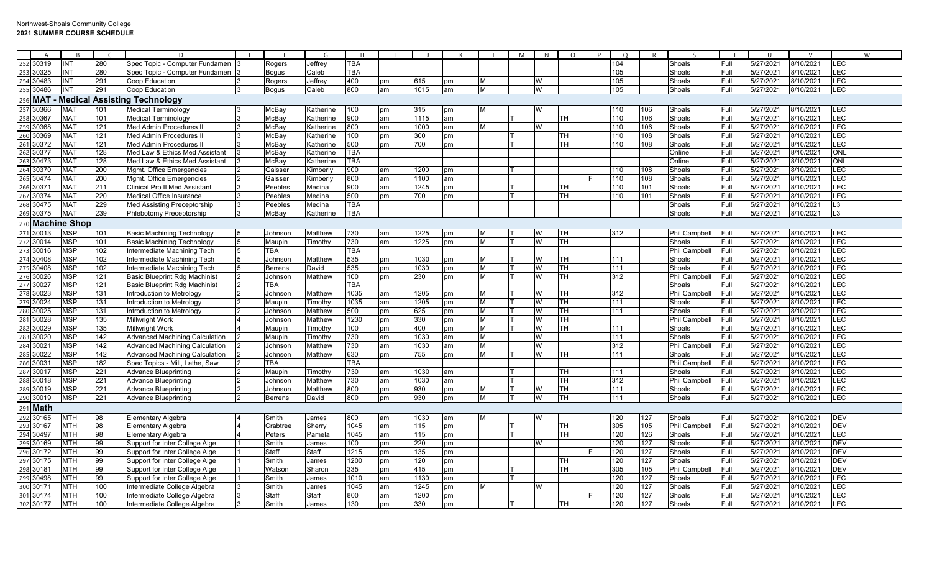|                   | $\overline{A}$ | $\overline{B}$ | $\epsilon$ | $\mathsf{D}$                          | E | E              | G                                                                                                                                                                                                                             | H          |    |      |    |   | M | N | $\circ$   | <b>D</b> | $\circ$ |     | S             | $\mathsf{T}$ | $\overline{11}$ | $\mathcal{U}$ | W              |
|-------------------|----------------|----------------|------------|---------------------------------------|---|----------------|-------------------------------------------------------------------------------------------------------------------------------------------------------------------------------------------------------------------------------|------------|----|------|----|---|---|---|-----------|----------|---------|-----|---------------|--------------|-----------------|---------------|----------------|
| 30319<br>252      |                | INT            | 280        | Spec Topic - Computer Fundamen        |   | Rogers         | Jeffrey                                                                                                                                                                                                                       | <b>TBA</b> |    |      |    |   |   |   |           |          | 104     |     | Shoals        | Full         | 5/27/2021       | 8/10/2021     | LEC            |
| 30325<br>253      |                | <b>INT</b>     | 280        | Spec Topic - Computer Fundamen        |   | <b>Boqus</b>   | Caleb                                                                                                                                                                                                                         | <b>TBA</b> |    |      |    |   |   |   |           |          | 105     |     | Shoals        | Full         | 5/27/2021       | 3/10/2021     | LEC            |
| 30483<br>254      |                | INT            | 291        | Coop Education                        |   | Rogers         | Jeffrey                                                                                                                                                                                                                       | 400        | pm | 615  | pm | M |   | W |           |          | 105     |     | Shoals        | Full         | 5/27/2021       | 8/10/2021     | LEC            |
| 255<br>30486      |                | INT            | 291        | Coop Education                        |   | <b>Bogus</b>   | Caleb                                                                                                                                                                                                                         | 800        | am | 1015 | am | M |   | W |           |          | 105     |     | Shoals        | Full         | 5/27/2021       | 8/10/2021     | LEC            |
| <b>MAT</b><br>256 |                |                |            | <b>Medical Assisting Technology</b>   |   |                |                                                                                                                                                                                                                               |            |    |      |    |   |   |   |           |          |         |     |               |              |                 |               |                |
| 30366<br>257      |                | <b>MAT</b>     | 101        | <b>Medical Terminology</b>            |   | McBay          | Katherine                                                                                                                                                                                                                     | 100        | pm | 315  | pm | M |   | W |           |          | 110     | 106 | Shoals        | Full         | 5/27/2021       | 8/10/2021     | LEC            |
| 258<br>30367      |                | <b>MAT</b>     | 101        | <b>Medical Terminology</b>            |   | McBay          | <b>Katherine</b>                                                                                                                                                                                                              | 900        | am | 1115 | am |   |   |   | TH        |          | 110     | 106 | Shoals        | Full         | 5/27/2021       | 8/10/2021     | LEC            |
| 259<br>30368      |                | <b>MAT</b>     | 121        | Med Admin Procedures II               |   | McBay          | ≺atherine                                                                                                                                                                                                                     | 800        | am | 1000 | am | м |   | W |           |          | 110     | 106 | Shoals        | Full         | 5/27/2021       | 8/10/2021     | <b>LEC</b>     |
| 260<br>30369      |                | <b>MAT</b>     | 121        | Med Admin Procedures I                |   | МсВау          | Katherine                                                                                                                                                                                                                     | 100        | pm | 300  | pm |   |   |   | TH        |          | 110     | 108 | Shoals        | Full         | 5/27/2021       | /10/2021      | LEC            |
| 30372<br>261      |                | <b>MAT</b>     | 121        | <b>Med Admin Procedures II</b>        |   | McBay          | Katherine                                                                                                                                                                                                                     | 500        | pm | 700  | pm |   |   |   | <b>TH</b> |          | 110     | 108 | Shoals        | Full         | 5/27/2021       | 3/10/2021     | <b>LEC</b>     |
| 262<br>30377      |                | <b>MAT</b>     | 128        | Med Law & Ethics Med Assistant        |   | McBay          | ≺atherine                                                                                                                                                                                                                     | <b>TBA</b> |    |      |    |   |   |   |           |          |         |     | Online        | Full         | 5/27/2021       | 8/10/2021     | <b>ONL</b>     |
| 263<br>30473      |                | <b>MAT</b>     | 128        | Med Law & Ethics Med Assistant        |   | МсВау          | <atherine< td=""><td><b>TBA</b></td><td></td><td></td><td></td><td></td><td></td><td></td><td></td><td></td><td></td><td></td><td>Online</td><td>Full</td><td>5/27/2021</td><td>3/10/2021</td><td><b>ONI</b></td></atherine<> | <b>TBA</b> |    |      |    |   |   |   |           |          |         |     | Online        | Full         | 5/27/2021       | 3/10/2021     | <b>ONI</b>     |
| 30370<br>264      |                | <b>MAT</b>     | 200        | Mgmt. Office Emergencies              |   | Gaisser        | Kimberly                                                                                                                                                                                                                      | 900        | am | 1200 | pm |   |   |   |           |          | 110     | 108 | Shoals        | Full         | 5/27/2021       | 8/10/2021     | LEC            |
| 30474<br>265      |                | <b>MAT</b>     | 200        | Mgmt. Office Emergencies              |   | Gaisser        | Kimberly                                                                                                                                                                                                                      | 800        | am | 1100 | am |   |   |   |           |          | 110     | 108 | Shoals        | Full         | 5/27/2021       | 3/10/2021     | LEC            |
| 266<br>3037       |                | <b>MAT</b>     | 211        | <b>Clinical Pro II Med Assistant</b>  |   | Peebles        | Medina                                                                                                                                                                                                                        | 900        | am | 1245 | pm |   |   |   | TH        |          | 110     | 101 | Shoals        | Full         | 5/27/2021       | /10/2021      | LEC            |
| 30374<br>267      |                | <b>MAT</b>     | 220        | Medical Office Insurance              |   | Peebles        | Medina                                                                                                                                                                                                                        | 500        | pm | 700  | pm |   |   |   | TH        |          | 110     | 101 | Shoals        | Full         | 5/27/2021       | 8/10/2021     | LEC            |
| 30475<br>268      |                | <b>MAT</b>     | 229        | <b>Med Assisting Preceptorship</b>    |   | Peebles        | Medina                                                                                                                                                                                                                        | <b>TBA</b> |    |      |    |   |   |   |           |          |         |     | Shoals        | Full         | 5/27/2021       | 8/10/2021     | L <sub>3</sub> |
| 30375<br>269      |                | <b>MAT</b>     | 239        | Phlebotomy Preceptorship              |   | McBay          | Katherine                                                                                                                                                                                                                     | <b>TBA</b> |    |      |    |   |   |   |           |          |         |     | Shoals        | Full         | 5/27/2021       | 8/10/2021     | L <sub>3</sub> |
|                   |                | Machine Shop   |            |                                       |   |                |                                                                                                                                                                                                                               |            |    |      |    |   |   |   |           |          |         |     |               |              |                 |               |                |
| 271<br>30013      |                | <b>MSP</b>     | 101        | <b>Basic Machining Technology</b>     |   | Johnson        | Matthew                                                                                                                                                                                                                       | 730        | am | 1225 | pm | M |   | W | TH        |          | 312     |     | Phil Campbell | Full         | 5/27/2021       | 8/10/2021     | LEC            |
| 272<br>30014      |                | <b>MSP</b>     | 101        | <b>Basic Machining Technology</b>     |   | Maupin         | Timothv                                                                                                                                                                                                                       | 730        | am | 1225 | pm | M |   | W | <b>TH</b> |          |         |     | Shoals        | Full         | 5/27/2021       | 8/10/2021     | LEC            |
| 273<br>30016      |                | <b>MSP</b>     | 102        | Intermediate Machining Tech           |   | TBA            |                                                                                                                                                                                                                               | <b>TBA</b> |    |      |    |   |   |   |           |          |         |     | Phil Campbell | Full         | 5/27/2021       | 8/10/2021     | LEC            |
| 274<br>30408      |                | <b>MSP</b>     | 102        | Intermediate Machining Tech           |   | Johnson        | Matthew                                                                                                                                                                                                                       | 535        | pm | 1030 | pm | M |   | W | TH        |          | 111     |     | Shoals        | Full         | 5/27/2021       | 8/10/2021     | LEC            |
| 27!<br>30408      |                | <b>MSP</b>     | 102        | Intermediate Machining Tech           |   | <b>Berrens</b> | David                                                                                                                                                                                                                         | 535        | pm | 1030 | pm | M |   | W | TН        |          | 111     |     | Shoals        | Full         | 5/27/2021       | 8/10/2021     | <b>LEC</b>     |
| 30026<br>276      |                | <b>MSP</b>     | 121        | <b>Basic Blueprint Rdg Machinist</b>  |   | Johnson        | Matthew                                                                                                                                                                                                                       | 100        | pm | 230  | pm | M |   | W | TH        |          | 312     |     | Phil Campbell | Full         | 5/27/2021       | /10/2021      | <b>LEC</b>     |
| 30027<br>277      |                | <b>MSP</b>     | 121        | <b>Basic Blueprint Rdg Machinist</b>  |   | <b>TBA</b>     |                                                                                                                                                                                                                               | <b>TBA</b> |    |      |    |   |   |   |           |          |         |     | Shoals        | Full         | 5/27/2021       | 8/10/2021     | LEC            |
| 30023             |                | <b>MSP</b>     | 131        | Introduction to Metrology             |   | Johnson        | Matthew                                                                                                                                                                                                                       | 1035       | am | 1205 | pm | M |   | W | TH        |          | 312     |     | Phil Campbell | Full         | 5/27/2021       | 8/10/2021     | LEC            |
| 279<br>30024      |                | <b>MSP</b>     | 131        | Introduction to Metrology             |   | Maupin         | Timothy                                                                                                                                                                                                                       | 1035       | am | 1205 | pm | M |   | W | TH        |          | 111     |     | Shoals        | Full         | 5/27/2021       | 8/10/2021     | <b>LEC</b>     |
| 280<br>30025      |                | <b>MSP</b>     | 131        | Introduction to Metrology             |   | Johnson        | Matthew                                                                                                                                                                                                                       | 500        | pm | 625  | pm | M |   | W | <b>TH</b> |          | 111     |     | Shoals        | Full         | 5/27/2021       | 8/10/2021     | <b>LEC</b>     |
| 281<br>30028      |                | <b>MSP</b>     | 135        | Millwright Work                       |   | Johnson        | Matthew                                                                                                                                                                                                                       | 1230       | pm | 330  | pm | M |   | W | TH        |          |         |     | Phil Campbell | Full         | 5/27/2021       | /10/2021      | LEC            |
| 282<br>30029      |                | <b>MSP</b>     | 135        | Millwright Work                       |   | Maupin         | Timothv                                                                                                                                                                                                                       | 100        | pm | 400  | pm | M |   | W | TH        |          | 111     |     | Shoals        | Full         | 5/27/2021       | 3/10/2021     | LEC            |
| 283<br>30020      |                | <b>MSP</b>     | 142        | <b>Advanced Machining Calculation</b> |   | Maupin         | Timothy                                                                                                                                                                                                                       | 730        | am | 1030 | am | M |   | W |           |          | 111     |     | Shoals        | Full         | 5/27/2021       | 8/10/2021     | <b>LEC</b>     |
| 284<br>30021      |                | <b>MSP</b>     | 142        | <b>Advanced Machining Calculation</b> |   | Johnson        | Matthew                                                                                                                                                                                                                       | 730        | am | 1030 | am | M |   | W |           |          | 312     |     | Phil Campbell | Full         | 5/27/2021       | 3/10/2021     | LEC            |
| 285<br>30022      |                | <b>MSP</b>     | 142        | <b>Advanced Machining Calculation</b> |   | Johnson        | Matthew                                                                                                                                                                                                                       | 630        | pm | 755  | pm | M |   | W | TH        |          | 111     |     | Shoals        | Full         | 5/27/2021       | 8/10/2021     | LEC            |
| 286<br>3003'      |                | <b>MSP</b>     | 182        | Spec Topics - Mill, Lathe, Saw        |   | TBA            |                                                                                                                                                                                                                               | <b>TBA</b> |    |      |    |   |   |   |           |          |         |     | Phil Campbell | Full         | 5/27/2021       | 8/10/2021     | LEC            |
| 287<br>3001       |                | <b>MSP</b>     | 221        | <b>Advance Blueprinting</b>           |   | Maupin         | Timothy                                                                                                                                                                                                                       | 730        | am | 1030 | am |   |   |   | <b>TH</b> |          | 111     |     | Shoals        | Full         | 5/27/2021       | /10/2021      | LEC            |
| 288<br>30018      |                | <b>MSP</b>     | 221        | <b>Advance Blueprinting</b>           |   | Johnson        | Matthew                                                                                                                                                                                                                       | 730        | am | 1030 | am |   |   |   | <b>TH</b> |          | 312     |     | Phil Campbell | Full         | 5/27/2021       | 3/10/2021     | <b>LEC</b>     |
| 289<br>30019      |                | <b>MSP</b>     | 221        | <b>Advance Blueprinting</b>           |   | Johnson        | Matthew                                                                                                                                                                                                                       | 800        | pm | 930  | pm | M |   | W | TH        |          | 111     |     | Shoals        | Full         | 5/27/2021       | 8/10/2021     | LEC            |
| 290<br>30019      |                | <b>MSP</b>     | 221        | <b>Advance Blueprinting</b>           |   | <b>Berrens</b> | David                                                                                                                                                                                                                         | 800        | pm | 930  | pm | M |   | W | TH        |          | 111     |     | Shoals        | Full         | 5/27/2021       | 8/10/2021     | LEC            |
| l Math<br>$29 -$  |                |                |            |                                       |   |                |                                                                                                                                                                                                                               |            |    |      |    |   |   |   |           |          |         |     |               |              |                 |               |                |
| 292<br>30165      |                | <b>MTH</b>     | 98         | Elementary Algebra                    |   | Smith          | James                                                                                                                                                                                                                         | 800        | am | 1030 | am | M |   | W |           |          | 120     | 127 | Shoals        | Full         | 5/27/2021       | 8/10/2021     | DEV            |
| 293<br>30167      |                | <b>MTH</b>     | 98         | <b>Elementary Algebra</b>             |   | Crabtree       | Sherrv                                                                                                                                                                                                                        | 1045       | am | 115  | pm |   |   |   | TH        |          | 305     | 105 | Phil Campbell | Full         | 5/27/2021       | 8/10/2021     | <b>DEV</b>     |
| 294<br>30497      |                | <b>MTH</b>     | 98         | <b>Elementary Algebra</b>             |   | Peters         | Pamela                                                                                                                                                                                                                        | 1045       | am | 115  | pm |   |   |   | <b>TH</b> |          | 120     | 126 | Shoals        | Full         | 5/27/2021       | 8/10/2021     | LEC            |
| 295<br>30169      |                | <b>MTH</b>     | 99         | Support for Inter College Alge        |   | Smith          | James                                                                                                                                                                                                                         | 100        | pm | 220  | pm |   |   | W |           |          | 120     | 127 | Shoals        | Full         | 5/27/2021       | 8/10/2021     | <b>DEV</b>     |
| 296<br>30172      |                | <b>MTH</b>     | 99         | Support for Inter College Alge        |   | Staff          | Staff                                                                                                                                                                                                                         | 1215       | pm | 135  | pm |   |   |   |           |          | 120     | 127 | Shoals        | Full         | 5/27/2021       | 8/10/2021     | DEV            |
| 297<br>30175      |                | <b>MTH</b>     | 99         | Support for Inter College Alge        |   | Smith          | James                                                                                                                                                                                                                         | 1200       | pm | 120  | pm |   |   |   | TH        |          | 120     | 127 | Shoals        | Full         | 5/27/2021       | 3/10/2021     | <b>DEV</b>     |
| 298<br>3018       |                | <b>MTH</b>     | 99         | Support for Inter College Alge        |   | Watsor         | Sharon                                                                                                                                                                                                                        | 335        | pm | 415  | pm |   |   |   | TH        |          | 305     | 105 | Phil Campbell | Full         | 5/27/2021       | 3/10/2021     | <b>DEV</b>     |
| 299<br>30498      |                | <b>MTH</b>     | 99         | Support for Inter College Alge        |   | Smith          | James                                                                                                                                                                                                                         | 1010       | am | 1130 | am |   |   |   |           |          | 120     | 127 | Shoals        | Full         | 5/27/2021       | 8/10/2021     | LEC            |
| 30171<br>300      |                | <b>MTH</b>     | 100        | Intermediate College Algebra          |   | Smith          | James                                                                                                                                                                                                                         | 1045       | am | 1245 | pm | M |   | W |           |          | 120     | 127 | Shoals        | Full         | 5/27/2021       | 3/10/2021     | LEC            |
| 301 30174         |                | <b>MTH</b>     | 100        | Intermediate College Algebra          |   | Staff          | Staff                                                                                                                                                                                                                         | 800        | am | 1200 | pm |   |   |   |           |          | 120     | 127 | Shoals        | Full         | 5/27/2021       | 8/10/2021     | <b>LEC</b>     |
| 302 30177         |                | <b>MTH</b>     | 100        | Intermediate College Algebra          |   | Smith          | James                                                                                                                                                                                                                         | 130        | pm | 330  | pm |   |   |   | TH        |          | 120     | 127 | Shoals        | Full         | 5/27/2021       | 8/10/2021     | <b>LEC</b>     |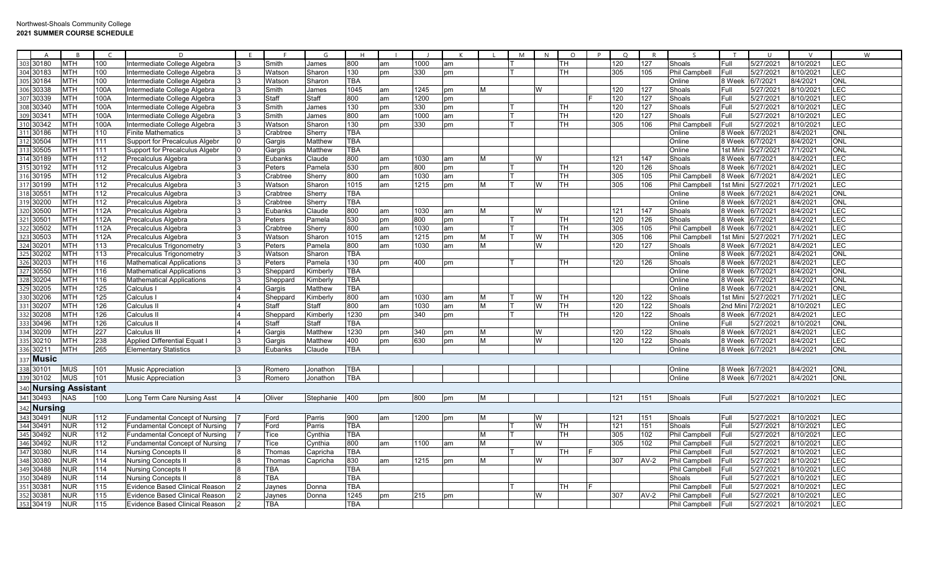|                  | $\Delta$ |                          |            | <sup>n</sup>                               | F |                     | G                | H                 |          |      |          |        | M  | N      | $\Omega$ | $\Omega$ |            |                                |                    | $\Box$    | $\mathsf{V}$          | W          |
|------------------|----------|--------------------------|------------|--------------------------------------------|---|---------------------|------------------|-------------------|----------|------|----------|--------|----|--------|----------|----------|------------|--------------------------------|--------------------|-----------|-----------------------|------------|
| 303              | 30180    | MTH                      | 100        | Intermediate College Algebra               |   | Smith               | James            | 800               | am       | 1000 | am       |        |    |        | TН       | 120      | 127        | Shoals                         | Full               | 5/27/2021 | 3/10/2021             | LEC        |
| 304              | 30183    | <b>MTH</b>               | 100        | Intermediate College Algebra               |   | Watson              | Sharon           | 130               | pm       | 330  | pm       |        |    |        | TН       | 305      | 105        | <b>Phil Campbell</b>           | Full               | 5/27/2021 | 3/10/2021             | LEC        |
| 305              | 30184    | MTH                      | 100        | Intermediate College Algebra               |   | Watson              | Sharon           | TBA               |          |      |          |        |    |        |          |          |            | Online                         | 8 Week             | 6/7/2021  | 3/4/2021              | <b>ONL</b> |
| 306              | 30338    | MTH                      | 100A       | Intermediate College Algebra               |   | Smith               | James            | 1045              | am       | 1245 | pm       | м      |    | W      |          | 120      | 127        | Shoals                         | Full               | 5/27/2021 | 3/10/2021             | LEC        |
| 307              | 30339    | <b>MTH</b>               | 100A       | Intermediate College Algebra               |   | Staff               | Staff            | 800               | am       | 1200 | pm       |        |    |        |          | 120      | 127        | Shoals                         | Full               | 5/27/2021 | 3/10/2021             | LEC        |
| 308              | 30340    | MTH                      | 100A       | Intermediate College Algebra               |   | Smith               | James            | 130               | pm       | 330  | pm       |        |    |        | TН       | 120      | 127        | Shoals                         | Full               | 5/27/2021 | 3/10/2021             | LEC        |
| 309              | 30341    | <b>MTH</b>               | 100A       | Intermediate College Algebra               |   | Smith               | James            | 800               | am       | 1000 | am       |        |    |        | TH.      | 120      | 127        | Shoals                         | Full               | 5/27/2021 | 3/10/2021             | LEC        |
| 310              | 30342    | <b>MTH</b>               | 100A       | Intermediate College Algebra               |   | Watson              | Sharon           | 130               | pm       | 330  | pm       |        |    |        | TH.      | 305      | 106        | Phil Campbell                  | Full               | 5/27/2021 | 3/10/2021             | LEC        |
| 311              | 30186    | MTH                      | 110        | <b>Finite Mathematics</b>                  |   | Crabtree            | Sherry           | <b>TBA</b>        |          |      |          |        |    |        |          |          |            | Online                         | 8 Week             | 6/7/2021  | 8/4/2021              | <b>ONL</b> |
| 312              | 30504    | <b>MTH</b>               | 111        | Support for Precalculus Algebr             |   | Gargis              | Matthew          | TBA               |          |      |          |        |    |        |          |          |            | Online                         | 8 Week             | 6/7/2021  | 8/4/2021              | <b>ONL</b> |
| 313              | 30505    | MTH                      | 111        | Support for Precalculus Algebr             |   | Gargis              | <b>Matthew</b>   | TBA               |          |      |          |        |    |        |          |          |            | Online                         | 1st Mini           | 5/27/202  | 7/1/2021              | <b>ONL</b> |
| $\overline{314}$ | 30189    | MTH                      | 112        | Precalculus Algebra                        |   | Eubanks             | Claude           | 800               | am       | 1030 | am       | M      |    | w      |          | 121      | 147        | Shoals                         | 8 Week             | 6/7/2021  | 3/4/2021              | LEC        |
| 315              | 30192    | <b>MTH</b>               | 112        | Precalculus Algebra                        |   | Peters              | Pamela           | 530               | pm       | 800  | pm       |        |    |        | TН       | 120      | 126        | Shoals                         | 8 Week             | 6/7/2021  | 8/4/2021              | LEC        |
| 316              | 30195    | мтн                      | 112        | Precalculus Algebra                        |   | Crabtree            | Sherry           | 800               | am       | 1030 | am       |        |    |        | TH       | 305      | 105        | <b>Phil Campbell</b>           | 8 Week             | 6/7/2021  | 8/4/2021              | LEC        |
| 317              | 30199    | <b>MTH</b>               | 112        |                                            |   | Watson              |                  | 1015              | am       | 1215 | pm       | м      |    | W      | TH.      | 305      | 106        |                                | 1st Mini           | 5/27/202  | 7/1/2021              | LEC        |
| 318              | 3055'    | MTH                      | 112        | Precalculus Algebra<br>Precalculus Algebra |   | Crabtree            | Sharon<br>Sherry | <b>TBA</b>        |          |      |          |        |    |        |          |          |            | <b>Phil Campbell</b><br>Online | 8 Week             | 6/7/2021  | 8/4/2021              | <b>ONL</b> |
|                  | 30200    | MTH                      | 112        |                                            |   |                     |                  | <b>TBA</b>        |          |      |          |        |    |        |          |          |            | Online                         | 8 Week             | 6/7/2021  | 8/4/2021              | <b>ONL</b> |
| 319<br>320       | 30500    | MTH                      | 112A       | Precalculus Algebra                        |   | Crabtree<br>Eubanks | Sherry<br>Claude | 800               |          | 1030 | am       | M      |    | W      |          | 121      | 147        | Shoals                         | 8 Week             | 6/7/2021  | 8/4/2021              | LEC        |
| 321              | 30501    | MTH                      | 112A       | Precalculus Algebra                        |   | Peters              |                  | 530               | am<br>pm | 800  |          |        |    |        | TН       | 120      | 126        | Shoals                         | 8 Week             | 6/7/2021  | 8/4/2021              | LEC        |
| 322              | 30502    | MTH                      | 112A       | Precalculus Algebra                        |   | Crabtree            | Pamela<br>Sherry | 800               | am       | 1030 | pm<br>am |        |    |        | TH       | 305      | 105        | <b>Phil Campbell</b>           | 8 Week             | 6/7/2021  | 8/4/2021              | LEC        |
| 323              | 30503    | MTH                      |            | Precalculus Algebra                        |   |                     |                  |                   |          |      |          |        |    |        | TН       | 305      |            |                                |                    |           |                       | LEC        |
|                  | 30201    | MTH                      | 112A       | Precalculus Algebra                        |   | Watson              | Sharon           | 1015              | am       | 1215 | pm       | м<br>M |    | W<br>W |          | 120      | 106<br>127 | Phil Campbell                  | 1st Mini<br>8 Week | 5/27/202  | 7/1/2021<br>3/4/2021  | LEC        |
| 324<br>325       |          |                          | 113        | Precalculus Trigonometry                   |   | Peters<br>Watson    | Pamela           | 800<br><b>TBA</b> | am       | 1030 | am       |        |    |        |          |          |            | Shoals                         | 8 Week             | 6/7/2021  |                       | <b>ONL</b> |
|                  | 30202    | <b>MTH</b>               | 113<br>116 | Precalculus Trigonometry                   |   |                     | Sharon           |                   |          |      |          |        |    |        |          |          |            | Online                         |                    | 6/7/2021  | 8/4/2021              | LEC        |
| 326              | 30203    | <b>MTH</b>               |            | Mathematical Applications                  |   | Peters              | Pamela           | 130               | pm       | 400  | pm       |        |    |        | TН       | 120      | 126        | Shoals                         | 8 Week             | 6/7/2021  | 8/4/2021              |            |
| 327              | 30550    | <b>MTH</b>               | 116        | Mathematical Applications                  |   | Sheppard            | Kimberly         | <b>TBA</b>        |          |      |          |        |    |        |          |          |            | Online                         | 8 Week             | 6/7/2021  | 8/4/2021              | ONL        |
| 328              | 30204    | мтн                      | 116        | Mathematical Applications                  |   | Sheppard            | Kimberly         | TBA               |          |      |          |        |    |        |          |          |            | Online                         | 8 Week             | 6/7/202   | 8/4/2021              | <b>ONL</b> |
| 329              | 30205    | MTH                      | 125        | Calculus                                   |   | Gargis              | Matthew          | TBA               |          |      |          |        |    |        |          |          |            | Online                         | 8 Week             | 6/7/2021  | 8/4/2021              | <b>ONL</b> |
| 330              | 30206    | MTH                      | 125        | Calculus                                   |   | Sheppard            | Kimberly         | 800               | am       | 1030 | lam      | м      |    | W      | TH       | 120      | 122        | Shoals                         | 1st Mini           | 5/27/2021 | 7/1/2021              | LEC        |
| 331              | 30207    | MTH                      | 126        | Calculus I                                 |   | Staff               | Staff            | 800               | am       | 1030 | am       | M      | IТ | W      | l TH     | 120      | 122        | Shoals                         | 2nd Mir            | 7/2/2021  | 8/10/2021             | LEC        |
| 332              | 30208    | <b>MTH</b>               | 126        | Calculus II                                |   | Sheppard            | Kimberly         | 1230              | pm       | 340  | pm       |        |    |        | TH.      | 120      | 122        | Shoals                         | 8 Week             | 6/7/2021  | 8/4/2021              | LEC        |
| 333              | 30496    | MTH                      | 126        | Calculus I                                 |   | Staff               | Staff            | TBA               |          |      |          |        |    |        |          |          |            | Online                         | Full               | 5/27/202  | 3/10/2021             | <b>ONL</b> |
| 334              | 30209    | MTH                      | 227        | Calculus III                               |   | Gargis              | Matthew          | 1230              | pm       | 340  | pm       |        |    | w      |          | 120      | 122        | Shoals                         | 8 Week             | 6/7/2021  | 3/4/2021              | LEC        |
| 335              | 30210    | <b>MTH</b>               | 238        | Applied Differential Equat I               |   | Gargis              | Matthew          | 400               | pm       | 630  | pm       | M      |    | W      |          | 120      | 122        | Shoals                         | 8 Week             | 6/7/2021  | 8/4/2021              | LEC        |
| 336              | 30211    | <b>MTH</b>               | 265        | Elementary Statistics                      |   | Eubanks             | Claude           | <b>TBA</b>        |          |      |          |        |    |        |          |          |            | Online                         | 8 Week             | 6/7/2021  | 8/4/2021              | <b>ONL</b> |
| 337              | Music    |                          |            |                                            |   |                     |                  |                   |          |      |          |        |    |        |          |          |            |                                |                    |           |                       |            |
| 338              | 30101    | <b>MUS</b>               | 101        | <b>Music Appreciation</b>                  |   | Romero              | Jonathon         | <b>TBA</b>        |          |      |          |        |    |        |          |          |            | Online                         | 8 Week             | 6/7/2021  | 8/4/2021              | <b>NO</b>  |
| 339              | 30102    | <b>MUS</b>               | 101        | <b>Music Appreciation</b>                  |   | Romerc              | Jonathon         | <b>TBA</b>        |          |      |          |        |    |        |          |          |            | Online                         | 8 Week             | 6/7/2021  | 8/4/2021              | <b>ONL</b> |
| 340              |          | <b>Nursing Assistant</b> |            |                                            |   |                     |                  |                   |          |      |          |        |    |        |          |          |            |                                |                    |           |                       |            |
| 341              | 30493    | <b>NAS</b>               | 100        | Long Term Care Nursing Asst                |   | Oliver              | Stephanie        | 400               | pm       | 800  | pm       | IM.    |    |        |          | 121      | 151        | Shoals                         | Full               | 5/27/2021 | 8/10/2021             | LEC        |
|                  | Nursina  |                          |            |                                            |   |                     |                  |                   |          |      |          |        |    |        |          |          |            |                                |                    |           |                       |            |
| 342<br>343       | 30491    | <b>NUR</b>               | 112        | <b>Fundamental Concept of Nursing</b>      |   | Ford                | Parris           | 900               | am       | 1200 |          | IM.    |    | w      |          | 121      | 151        | Shoals                         | Full               | 5/27/2021 | 8/10/2021             | LEC        |
|                  |          |                          |            |                                            |   |                     |                  |                   |          |      | pm       |        |    | W      |          |          |            |                                |                    |           |                       |            |
| 344<br>345       | 30491    | NUR                      | 112        | Fundamental Concept of Nursing             |   | Ford                | Parris           | <b>TBA</b>        |          |      |          |        |    |        | TH       | 121      | 151        | Shoals                         | Full               | 5/27/2021 | 8/10/2021             | LEC        |
|                  | 30492    | NUR                      | 112        | Fundamental Concept of Nursing             |   | Tice                | Cynthia          | <b>TBA</b>        |          |      |          | м      |    |        | TН       | 305      | 102        | <b>Phil Campbell</b>           | Full               | 5/27/2021 | 8/10/2021             | LEC        |
| 346              | 30492    | NUR                      | 112        | Fundamental Concept of Nursing             |   | Tice                | <b>Cynthia</b>   | 800               | am       | 1100 | am       | M      |    | W      |          | 305      | 102        | Phil Campbell                  | Full               | 5/27/2021 | 8/10/2021             | LEC        |
| 347              | 30380    | NUR                      | 114        | Nursing Concepts I                         |   | Thomas              | Capricha         | <b>TBA</b>        |          |      |          |        |    |        | TН       |          |            | Phil Campbell                  | Full               | 5/27/2021 | 3/10/2021             | LEC        |
| 348              | 30380    | NUR                      | 114        | <b>Nursing Concepts I</b>                  |   | Thomas              | Capricha         | 830               | am       | 1215 | pm       | M      |    | W      |          | 307      | $AV-2$     | <b>Phil Campbell</b>           | Full               | 5/27/2021 | 8/10/2021             | LEC        |
| 349              | 30488    | <b>NUR</b>               | 114        | Nursing Concepts                           |   | <b>TBA</b>          |                  | <b>TBA</b>        |          |      |          |        |    |        |          |          |            | <b>Phil Campbell</b>           | Full               | 5/27/2021 | 8/10/2021             | LEC        |
| 350              | 30489    | NUR                      | 114        | Nursing Concepts I                         |   | <b>TBA</b>          |                  | <b>TBA</b>        |          |      |          |        |    |        |          |          |            | Shoals                         | Full               | 5/27/2021 | 8/10/2021             | LEC        |
| 351              | $3038^.$ | NUR                      | 115        | Evidence Based Clinical Reason             |   | Jaynes              | Donna            | TBA               |          |      |          |        |    |        | TН       |          |            | Phil Campbell                  | Full               | 5/27/202  | 3/10/202 <sup>-</sup> | LEC        |
| 352              | 3038'    | NUR                      | 115        | Evidence Based Clinical Reason             |   | Jaynes              | Donna            | 1245              | pm       | 215  | pm       |        |    | W      |          | 307      | $AV-2$     | Phil Campbell                  | Full               | 5/27/202  | 3/10/2021             | LEC        |
| 353 30419        |          | <b>NUR</b>               | 115        | Evidence Based Clinical Reason             |   | <b>TBA</b>          |                  | <b>TBA</b>        |          |      |          |        |    |        |          |          |            | <b>Phil Campbell</b>           | Full               | 5/27/2021 | 8/10/2021             | LEC        |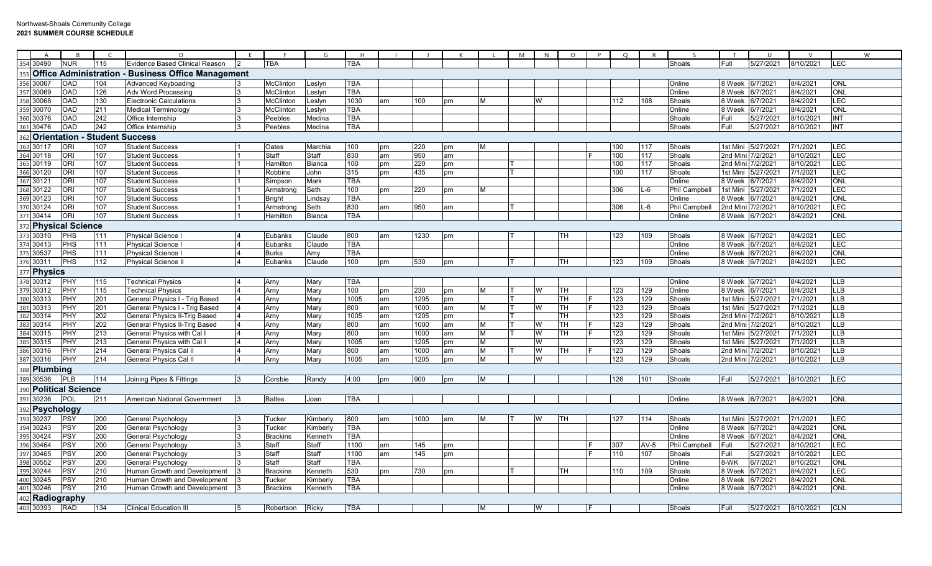|     | $\overline{A}$      |                                      | $\sqrt{ }$       | D                                                  | E  |                  | G             | H          |    |                  |    |    | M | N | $\circ$ | P | $\circ$ |        | $\varsigma$          | T                 | $\cup$             | $\vee$    |            | W |
|-----|---------------------|--------------------------------------|------------------|----------------------------------------------------|----|------------------|---------------|------------|----|------------------|----|----|---|---|---------|---|---------|--------|----------------------|-------------------|--------------------|-----------|------------|---|
|     | 354 30490           | <b>NUR</b>                           | 115              | Evidence Based Clinical Reason                     |    | <b>TBA</b>       |               | <b>TBA</b> |    |                  |    |    |   |   |         |   |         |        | Shoals               | Full              | 5/27/2021          | 8/10/2021 | LEC        |   |
| 355 | <b>Office</b>       |                                      |                  | <b>Administration - Business Office Management</b> |    |                  |               |            |    |                  |    |    |   |   |         |   |         |        |                      |                   |                    |           |            |   |
| 356 | 30067               | OAD                                  | 104              | Advanced Keyboading                                |    | McClinton        | _eslyn        | <b>TBA</b> |    |                  |    |    |   |   |         |   |         |        | Online               | 8 Week            | 6/7/2021           | 8/4/2021  | <b>ONI</b> |   |
|     | 357 30069           | OAD                                  | 126              | <b>Adv Word Processing</b>                         |    | <b>McClinton</b> | _eslyn        | <b>TBA</b> |    |                  |    |    |   |   |         |   |         |        | Online               | 8 Week            | 6/7/2021           | 8/4/2021  | <b>ONL</b> |   |
|     | 358 30068           | <b>OAD</b>                           | 130              | <b>Electronic Calculations</b>                     |    | McClinton        | _eslyn        | 1030       | am | 100              | pm | M  |   | W |         |   | 112     | 108    | Shoals               | 8 Week            | 6/7/2021           | 8/4/2021  | LEC        |   |
|     | 359 30070           | OAD                                  | 211              | <b>Medical Terminology</b>                         |    | <b>McClinton</b> | eslyn.        | <b>TBA</b> |    |                  |    |    |   |   |         |   |         |        | Online               | 8 Week            | 6/7/2021           | 8/4/2021  | ONL        |   |
| 360 | 30376               | OAD                                  | 242              | Office Internship                                  |    | Peebles          | Medina        | TBA        |    |                  |    |    |   |   |         |   |         |        | Shoals               | Full              | 5/27/2021          | 8/10/2021 | <b>INT</b> |   |
| 361 | 30476               | OAD                                  | $\overline{242}$ | Office Internship                                  |    | Peebles          | Medina        | <b>TBA</b> |    |                  |    |    |   |   |         |   |         |        | Shoals               | Full              | 5/27/2021          | 8/10/2021 | <b>INT</b> |   |
| 362 |                     | <b>Orientation - Student Success</b> |                  |                                                    |    |                  |               |            |    |                  |    |    |   |   |         |   |         |        |                      |                   |                    |           |            |   |
|     | 363 30117           | ORI                                  | 107              | <b>Student Success</b>                             |    | Oates            | Marchia       | 100        | pm | 220              | pm | M  |   |   |         |   | 100     | 117    | Shoals               | 1st Mini          | 5/27/2021          | 7/1/2021  | LEC        |   |
| 364 | 30118               | <b>ORI</b>                           | 107              | <b>Student Success</b>                             |    | Staff            | Staff         | 830        | am | $\overline{950}$ | am |    |   |   |         |   | 100     | 117    | Shoals               | 2nd Mini          | 7/2/2021           | 8/10/2021 | LEC        |   |
|     | 365 30119           | ORI                                  | 107              | <b>Student Success</b>                             |    | Hamilton         | <b>Bianca</b> | 100        | pm | 220              | pm |    |   |   |         |   | 100     | 117    | Shoals               | 2nd Mini          | 7/2/2021           | 8/10/2021 | LEC        |   |
| 366 | 30120               | $\overline{\overline{\text{OR}}}$    | 107              | <b>Student Success</b>                             |    | Robbins          | John          | 315        | pm | 435              | pm |    |   |   |         |   | 100     | 117    | Shoals               | 1st Mini          | 5/27/2021          | 7/1/2021  | <b>LEC</b> |   |
|     | 367 30121           | ORI                                  | 107              | <b>Student Success</b>                             |    | Simpson          | Mark          | <b>TBA</b> |    |                  |    |    |   |   |         |   |         |        | Online               | 8 Week            | 6/7/2021           | 8/4/2021  | ONL        |   |
|     | 368 30122           | <b>ORI</b>                           | 107              | <b>Student Success</b>                             |    | Armstrong        | Seth          | 100        | pm | 220              | pm | М  |   |   |         |   | 306     | -6     | <b>Phil Campbell</b> | 1st Mini          | 5/27/2021          | 7/1/2021  | LEC        |   |
|     | 369 30123           | ori                                  | 107              | <b>Student Success</b>                             |    | <b>Bright</b>    | .indsay       | <b>TBA</b> |    |                  |    |    |   |   |         |   |         |        | Online               | 8 Week            | 6/7/2021           | 8/4/2021  | <b>ONL</b> |   |
|     | 370 30124           | ORI                                  | 107              | <b>Student Success</b>                             |    | Armstrong        | Seth          | 830        | am | 950              | am |    |   |   |         |   | 306     | L-6    | <b>Phil Campbell</b> | 2nd Mini 7/2/2021 |                    | 8/10/2021 | LEC        |   |
|     | 371 30414           | ORI                                  | 107              | <b>Student Success</b>                             |    | Hamilton         | <b>Bianca</b> | TBA        |    |                  |    |    |   |   |         |   |         |        | Online               | 8 Week            | 6/7/2021           | 8/4/2021  | ONL        |   |
|     |                     | <b>Physical Science</b>              |                  |                                                    |    |                  |               |            |    |                  |    |    |   |   |         |   |         |        |                      |                   |                    |           |            |   |
|     | 373 30310           | PHS                                  | 111              | <b>Physical Science I</b>                          |    | Eubanks          | Claude        | 800        | am | 1230             | pm |    |   |   | TН      |   | 123     | 109    | Shoals               | 8 Week            | 6/7/2021           | 8/4/2021  | LEC        |   |
|     | 374 30413           | PHS                                  | 111              | <b>Physical Science</b>                            |    | Eubanks          | Claude        | <b>TBA</b> |    |                  |    |    |   |   |         |   |         |        | Online               | 8 Week            | 6/7/2021           | 8/4/2021  | LEC        |   |
|     | 375 30537           | PHS                                  | 111              | <b>Physical Science</b>                            |    | <b>Burks</b>     | Amy           | <b>TBA</b> |    |                  |    |    |   |   |         |   |         |        | Online               | 8 Week            | 6/7/2021           | 8/4/2021  | ONL        |   |
|     | 376 30311           | PHS                                  | 112              | Physical Science I                                 |    | Eubanks          | Claude        | 100        | pm | 530              | pm |    |   |   | TН      |   | 123     | 109    | Shoals               | 8 Week            | 6/7/2021           | 8/4/2021  | LEC        |   |
|     | 377 Physics         |                                      |                  |                                                    |    |                  |               |            |    |                  |    |    |   |   |         |   |         |        |                      |                   |                    |           |            |   |
|     | 378 30312           | PHY                                  | 115              | <b>Technical Physics</b>                           |    | Arny             | Mary          | <b>TBA</b> |    |                  |    |    |   |   |         |   |         |        | Online               | 8 Week            | 6/7/2021           | 8/4/2021  | <b>LLB</b> |   |
|     | 379 30312           | PHY                                  | 115              | <b>Technical Physics</b>                           |    | Arny             | Mary          | 100        | pm | 230              | pm | M  |   | W | TН      |   | 123     | 129    | Online               | 8 Week            | 6/7/2021           | 8/4/2021  | <b>LLB</b> |   |
|     | 380 30313           | PHY                                  | 201              | General Physics I - Trig Based                     |    | Arny             | Mary          | 1005       | am | 1205             | pm |    |   |   | TН      |   | 123     | 129    | Shoals               |                   | 1st Mini 5/27/2021 | 7/1/2021  | <b>LLB</b> |   |
|     | 381 30313           | PHY                                  | 201              | General Physics I - Trig Based                     |    | Arny             | Mary          | 800        | am | 1000             | am | M  |   | W | TН      |   | 123     | 129    | Shoals               | 1st Mini          | 5/27/2021          | 7/1/2021  | <b>LLB</b> |   |
|     | 382 30314           | PHY                                  | 202              | General Physics II-Trig Based                      |    | Arny             | Mary          | 1005       | am | 1205             | pm |    |   |   | TН      |   | 123     | 129    | Shoals               | 2nd Mini 7/2/2021 |                    | 8/10/2021 | <b>LLB</b> |   |
|     | 383 30314           | PHY                                  | 202              | General Physics II-Trig Based                      |    | Arny             | Mary          | 800        | am | 1000             | am | M  |   | W | TН      |   | 123     | 129    | Shoals               | 2nd Mini          | 7/2/2021           | 8/10/2021 | <b>LLB</b> |   |
|     | 384 30315           | PHY                                  | 213              | <b>General Physics with Cal I</b>                  |    | Arny             | Mary          | 800        | am | 1000             | am | M  |   | W | TH      |   | 123     | 129    | Shoals               | 1st Mini          | 5/27/2021          | 7/1/2021  | <b>LLB</b> |   |
| 385 | 30315               | PHY                                  | 213              | General Physics with Cal                           |    | Arny             | Mary          | 1005       | am | 1205             | pm | M  |   | W |         |   | 123     | 129    | Shoals               |                   | 1st Mini 5/27/2021 | 7/1/2021  | <b>LLB</b> |   |
| 386 | 30316               | PHY                                  | 214              | General Physics Cal II                             |    | Arny             | Mary          | 800        | am | 1000             | am | M  |   | W | TН      |   | 123     | 129    | Shoals               | 2nd Mini          | 7/2/2021           | 8/10/2021 | <b>LLB</b> |   |
|     | 387 30316           | PHY                                  | 214              | <b>General Physics Cal II</b>                      |    | Arny             | Mary          | 1005       | am | 1205             | pm | M  |   | W |         |   | 123     | 129    | Shoals               | 2nd Mini          | 7/2/2021           | 8/10/2021 | <b>LLB</b> |   |
|     | 388 <b>Plumbing</b> |                                      |                  |                                                    |    |                  |               |            |    |                  |    |    |   |   |         |   |         |        |                      |                   |                    |           |            |   |
|     | 389 30536           | <b>PLB</b>                           | 114              | Joining Pipes & Fittings                           |    | Corsbie          | Randy         | 4:00       | pm | 900              | pm | ΙM |   |   |         |   | 126     | 101    | Shoals               | Full              | 5/27/2021          | 8/10/2021 | <b>LEC</b> |   |
|     |                     | 390 Political Science                |                  |                                                    |    |                  |               |            |    |                  |    |    |   |   |         |   |         |        |                      |                   |                    |           |            |   |
|     | 391 30236           | POL                                  | 211              | American National Government                       |    | <b>Baltes</b>    | Joan          | <b>TBA</b> |    |                  |    |    |   |   |         |   |         |        | Online               | 8 Week 6/7/2021   |                    | 8/4/2021  | <b>ONL</b> |   |
|     | 392 Psychology      |                                      |                  |                                                    |    |                  |               |            |    |                  |    |    |   |   |         |   |         |        |                      |                   |                    |           |            |   |
| 393 | 30237               | PSY                                  | 200              | General Psychology                                 |    | Tucker           | Kimberly      | 800        | am | 1000             | am | M  |   | w | TН      |   | 127     | 114    | Shoals               |                   | 1st Mini 5/27/2021 | 7/1/2021  | LEC        |   |
|     | 394 30243           | PSY                                  | 200              | General Psychology                                 |    | Tucker           | Kimberly      | <b>TBA</b> |    |                  |    |    |   |   |         |   |         |        | Online               | 8 Week            | 6/7/2021           | 8/4/2021  | <b>ONL</b> |   |
|     | 395 30424           | PSY                                  | 200              | General Psychology                                 |    | <b>Brackins</b>  | Kenneth       | <b>TBA</b> |    |                  |    |    |   |   |         |   |         |        | Online               | 8 Week            | 6/7/2021           | 8/4/2021  | ONL        |   |
|     | 396 30464           | PSY                                  | 200              | General Psychology                                 |    | Staff            | Staff         | 1100       | am | 145              | pm |    |   |   |         |   | 307     | $AV-5$ | <b>Phil Campbell</b> | Full              | 5/27/2021          | 8/10/2021 | <b>LEC</b> |   |
|     | 397 30465           | PSY                                  | 200              | General Psychology                                 |    | Staff            | Staff         | 1100       | am | 145              | pm |    |   |   |         |   | 110     | 107    | Shoals               | Full              | 5/27/2021          | 8/10/2021 | LEC        |   |
| 398 | 30552               | PSY                                  | 200              | General Psychology                                 |    | Staff            | Staff         | <b>TBA</b> |    |                  |    |    |   |   |         |   |         |        | Online               | 8-WK              | 6/7/2021           | 8/10/2021 | <b>ONL</b> |   |
| 399 | 30244               | PSY                                  | 210              | Human Growth and Development                       |    | <b>Brackins</b>  | Kenneth       | 530        | pm | 730              | pm |    |   |   | TH      |   | 110     | 109    | Shoals               | 8 Week            | 6/7/2021           | 8/4/2021  | LEC        |   |
| 400 | 30245               | <b>PSY</b>                           | 210              | Human Growth and Development                       |    | Tucker           | Kimberly      | <b>TBA</b> |    |                  |    |    |   |   |         |   |         |        | Online               | 8 Week            | 6/7/2021           | 8/4/2021  | ONL        |   |
| 401 | 30246               | PSY                                  | 210              | Human Growth and Development                       |    | <b>Brackins</b>  | Kenneth       | <b>TBA</b> |    |                  |    |    |   |   |         |   |         |        | Online               | 8 Week            | 6/7/2021           | 8/4/2021  | <b>ONL</b> |   |
|     | 402 Radiography     |                                      |                  |                                                    |    |                  |               |            |    |                  |    |    |   |   |         |   |         |        |                      |                   |                    |           |            |   |
|     | 403 30393           | <b>RAD</b>                           | 134              | <b>Clinical Education III</b>                      | 15 | Robertson        | Ricky         | <b>TBA</b> |    |                  |    | M  |   | W |         |   |         |        | Shoals               | Full              | 5/27/2021          | 8/10/2021 | <b>CLN</b> |   |